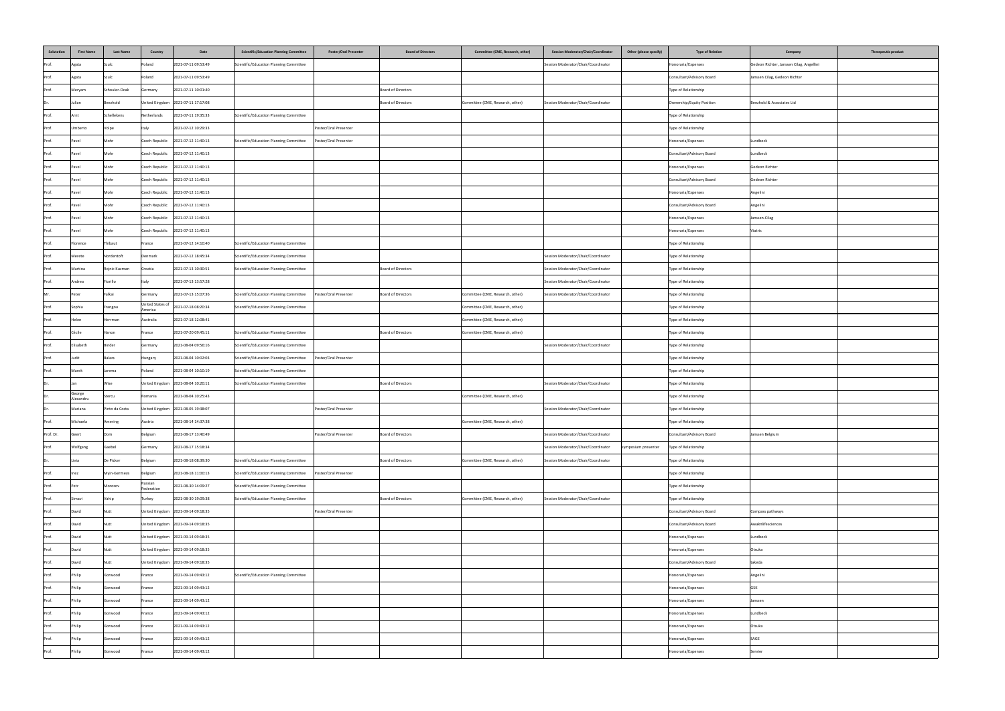| Salutation | <b>First Name</b>   | <b>Last Name</b> | <b>Country</b>              | Date                               | <b>Scientific/Education Planning Committee</b> | <b>Poster/Oral Presenter</b> | <b>Board of Directors</b> | Committee (CME, Research, other) | <b>Session Moderator/Chair/Coordinator</b> | Other (please specify) | <b>Type of Relation</b>   | Therapeutic product<br>Company           |
|------------|---------------------|------------------|-----------------------------|------------------------------------|------------------------------------------------|------------------------------|---------------------------|----------------------------------|--------------------------------------------|------------------------|---------------------------|------------------------------------------|
| Prof.      | Agata               | Szulc            | Poland                      | 2021-07-11 09:53:49                | Scientific/Education Planning Committee        |                              |                           |                                  | Session Moderator/Chair/Coordinator        |                        | Honoraria/Expenses        | Gedeon Richter, Janssen Cilag, Angellini |
| Prof.      | Agata               | Szulc            | Poland                      | 2021-07-11 09:53:49                |                                                |                              |                           |                                  |                                            |                        | Consultant/Advisory Board | Janssen Cilag, Gedeon Richter            |
| Prof.      | Meryam              | Schouler-Ocak    | Germany                     | 2021-07-11 10:01:40                |                                                |                              | <b>Board of Directors</b> |                                  |                                            |                        | Type of Relationship      |                                          |
| Dr.        | Julian              | Beezhold         |                             | United Kingdom 2021-07-11 17:17:08 |                                                |                              | <b>Board of Directors</b> | Committee (CME, Research, other) | Session Moderator/Chair/Coordinator        |                        | Ownership/Equity Position | Beezhold & Associates Ltd                |
| Prof.      | Arnt                | Schellekens      | Netherlands                 | 2021-07-11 19:35:33                | Scientific/Education Planning Committee        |                              |                           |                                  |                                            |                        | Type of Relationship      |                                          |
| Prof.      | Umberto             | Volpe            | Italy                       | 2021-07-12 10:29:33                |                                                | Poster/Oral Presenter        |                           |                                  |                                            |                        | Type of Relationship      |                                          |
| Prof.      | Pavel               | Mohr             | <b>Czech Republic</b>       | 2021-07-12 11:40:13                | Scientific/Education Planning Committee        | Poster/Oral Presenter        |                           |                                  |                                            |                        | Honoraria/Expenses        | Lundbeck                                 |
| Prof.      | Pavel               | Mohr             | <b>Czech Republic</b>       | 2021-07-12 11:40:13                |                                                |                              |                           |                                  |                                            |                        | Consultant/Advisory Board | Lundbeck                                 |
| Prof.      | Pavel               | Mohr             | <b>Czech Republic</b>       | 2021-07-12 11:40:13                |                                                |                              |                           |                                  |                                            |                        | Honoraria/Expenses        | Gedeon Richter                           |
| Prof.      | Pavel               | Mohr             |                             | Czech Republic 2021-07-12 11:40:13 |                                                |                              |                           |                                  |                                            |                        | Consultant/Advisory Board | Gedeon Richter                           |
| Prof.      | Pavel               | Mohr             |                             | Czech Republic 2021-07-12 11:40:13 |                                                |                              |                           |                                  |                                            |                        | Honoraria/Expenses        | Angelini                                 |
| Prof.      | Pavel               | Mohr             |                             | Czech Republic 2021-07-12 11:40:13 |                                                |                              |                           |                                  |                                            |                        | Consultant/Advisory Board | Angelini                                 |
| Prof.      | Pavel               |                  |                             | Czech Republic 2021-07-12 11:40:13 |                                                |                              |                           |                                  |                                            |                        | Honoraria/Expenses        | Janssen-Cilag                            |
| Prof.      | Pavel               | Mohr             |                             | Czech Republic 2021-07-12 11:40:13 |                                                |                              |                           |                                  |                                            |                        | Honoraria/Expenses        | <b>Viatris</b>                           |
| Prof.      | Florence            | Thibaut          | France                      | 2021-07-12 14:10:40                | Scientific/Education Planning Committee        |                              |                           |                                  |                                            |                        | Type of Relationship      |                                          |
| Prof.      | Merete              | Nordentoft       | Denmark                     | 2021-07-12 18:45:34                | Scientific/Education Planning Committee        |                              |                           |                                  | Session Moderator/Chair/Coordinator        |                        | Type of Relationship      |                                          |
| Prof.      | Martina             | Rojnic Kuzman    | Croatia                     | 2021-07-13 10:30:51                | Scientific/Education Planning Committee        |                              | <b>Board of Directors</b> |                                  | Session Moderator/Chair/Coordinator        |                        | Type of Relationship      |                                          |
| Prof.      | Andrea              | Fiorillo         | Italy                       | 2021-07-13 13:57:28                |                                                |                              |                           |                                  | Session Moderator/Chair/Coordinator        |                        | Type of Relationship      |                                          |
|            | Peter               | Falkai           | Germany                     | 2021-07-13 15:07:36                | Scientific/Education Planning Committee        | Poster/Oral Presenter        | <b>Board of Directors</b> | Committee (CME, Research, other) | Session Moderator/Chair/Coordinator        |                        | Type of Relationship      |                                          |
| Prof.      | Sophia              | Frangou          | United States of<br>America | 2021-07-18 08:20:34                | Scientific/Education Planning Committee        |                              |                           | Committee (CME, Research, other) |                                            |                        | Type of Relationship      |                                          |
| Prof.      | Helen               | Herrman          | Australia                   | 2021-07-18 12:08:41                |                                                |                              |                           | Committee (CME, Research, other) |                                            |                        | Type of Relationship      |                                          |
| Prof.      | Cécile              | Hanon            | France                      | 2021-07-20 09:45:11                | Scientific/Education Planning Committee        |                              | <b>Board of Directors</b> | Committee (CME, Research, other) |                                            |                        | Type of Relationship      |                                          |
| Prof.      | Elisabeth           | <b>Binder</b>    | Germany                     | 2021-08-04 09:56:16                | Scientific/Education Planning Committee        |                              |                           |                                  | Session Moderator/Chair/Coordinator        |                        | Type of Relationship      |                                          |
| Prof.      | Judit               | <b>Balazs</b>    | Hungary                     | 2021-08-04 10:02:03                | Scientific/Education Planning Committee        | Poster/Oral Presenter        |                           |                                  |                                            |                        | Type of Relationship      |                                          |
| Prof.      | Marek               | Jarema           | Poland                      | 2021-08-04 10:10:19                | Scientific/Education Planning Committee        |                              |                           |                                  |                                            |                        | Type of Relationship      |                                          |
| Dr.        | Han                 | Wise             |                             | United Kingdom 2021-08-04 10:20:11 | Scientific/Education Planning Committee        |                              | <b>Board of Directors</b> |                                  | Session Moderator/Chair/Coordinator        |                        | Type of Relationship      |                                          |
| Dr.        | George<br>Alexandru | Stercu           | Romania                     | 2021-08-04 10:25:43                |                                                |                              |                           | Committee (CME, Research, other) |                                            |                        | Type of Relationship      |                                          |
| IDr.       | Mariana             | Pinto da Costa   |                             | United Kingdom 2021-08-05 19:38:07 |                                                | Poster/Oral Presenter        |                           |                                  | Session Moderator/Chair/Coordinator        |                        | Type of Relationship      |                                          |
| Prof.      | Michaela            | Amering          | Austria                     | 2021-08-14 14:37:38                |                                                |                              |                           | Committee (CME, Research, other) |                                            |                        | Type of Relationship      |                                          |
| Prof. Dr.  | Geert               | Dom              | Belgium                     | 2021-08-17 13:40:49                |                                                | Poster/Oral Presenter        | <b>Board of Directors</b> |                                  | Session Moderator/Chair/Coordinator        |                        | Consultant/Advisory Board | Janssen Belgium                          |
| Prof.      | Wolfgang            | Gaebel           | Germany                     | 2021-08-17 15:18:34                |                                                |                              |                           |                                  | Session Moderator/Chair/Coordinator        | symposium presenter    | Type of Relationship      |                                          |
| Dr.        | Livia               | De Picker        | Belgium                     | 2021-08-18 08:39:30                | Scientific/Education Planning Committee        |                              | Board of Directors        | Committee (CME, Research, other) | Session Moderator/Chair/Coordinator        |                        | Type of Relationship      |                                          |
| Prof.      | Inez                | Myin-Germeys     | Belgium                     | 2021-08-18 11:00:13                | Scientific/Education Planning Committee        | Poster/Oral Presenter        |                           |                                  |                                            |                        | Type of Relationship      |                                          |
| Prof.      | Petr                | Morozov          | Russian<br>Federation       | 2021-08-30 14:09:27                | Scientific/Education Planning Committee        |                              |                           |                                  |                                            |                        | Type of Relationship      |                                          |
| Prof.      | Simavi              | Vahip            | Turkey                      | 2021-08-30 19:09:38                | Scientific/Education Planning Committee        |                              | <b>Board of Directors</b> | Committee (CME, Research, other) | Session Moderator/Chair/Coordinator        |                        | Type of Relationship      |                                          |
| Prof.      | David               | Nutt             |                             | United Kingdom 2021-09-14 09:18:35 |                                                | Poster/Oral Presenter        |                           |                                  |                                            |                        | Consultant/Advisory Board | Compass pathways                         |
| Prof.      | David               | <b>Nutt</b>      |                             | United Kingdom 2021-09-14 09:18:35 |                                                |                              |                           |                                  |                                            |                        | Consultant/Advisory Board | Awaknlifesciences                        |
| Prof.      | David               | l Nutt           |                             | United Kingdom 2021-09-14 09:18:35 |                                                |                              |                           |                                  |                                            |                        | Honoraria/Expenses        | Lundbeck                                 |
| Prof.      | David               | Nutt             |                             | United Kingdom 2021-09-14 09:18:35 |                                                |                              |                           |                                  |                                            |                        | Honoraria/Expenses        | Otsuka                                   |
| Prof.      | David               | Nutt             |                             | United Kingdom 2021-09-14 09:18:35 |                                                |                              |                           |                                  |                                            |                        | Consultant/Advisory Board | takeda                                   |
| Prof.      | Philip              | Gorwood          | France                      | 2021-09-14 09:43:12                | Scientific/Education Planning Committee        |                              |                           |                                  |                                            |                        | Honoraria/Expenses        | Angelini                                 |
| Prof.      | Philip              | Gorwood          | France                      | 2021-09-14 09:43:12                |                                                |                              |                           |                                  |                                            |                        | Honoraria/Expenses        | GSK l                                    |
| Prof.      | Philip              | Gorwood          | France                      | 2021-09-14 09:43:12                |                                                |                              |                           |                                  |                                            |                        | Honoraria/Expenses        | Janssen                                  |
| Prof.      | Philip              | Gorwood          | France                      | 2021-09-14 09:43:12                |                                                |                              |                           |                                  |                                            |                        | Honoraria/Expenses        | Lundbeck                                 |
| Prof.      | Philip              | Gorwood          | France                      | 2021-09-14 09:43:12                |                                                |                              |                           |                                  |                                            |                        | Honoraria/Expenses        | Otsuka                                   |
| Prof.      | Philip              | Gorwood          | France                      | 2021-09-14 09:43:12                |                                                |                              |                           |                                  |                                            |                        | Honoraria/Expenses        | <b>SAGE</b>                              |
| Prof.      | Philip              | Gorwood          | France                      | 2021-09-14 09:43:12                |                                                |                              |                           |                                  |                                            |                        | Honoraria/Expenses        | Servier                                  |
|            |                     |                  |                             |                                    |                                                |                              |                           |                                  |                                            |                        |                           |                                          |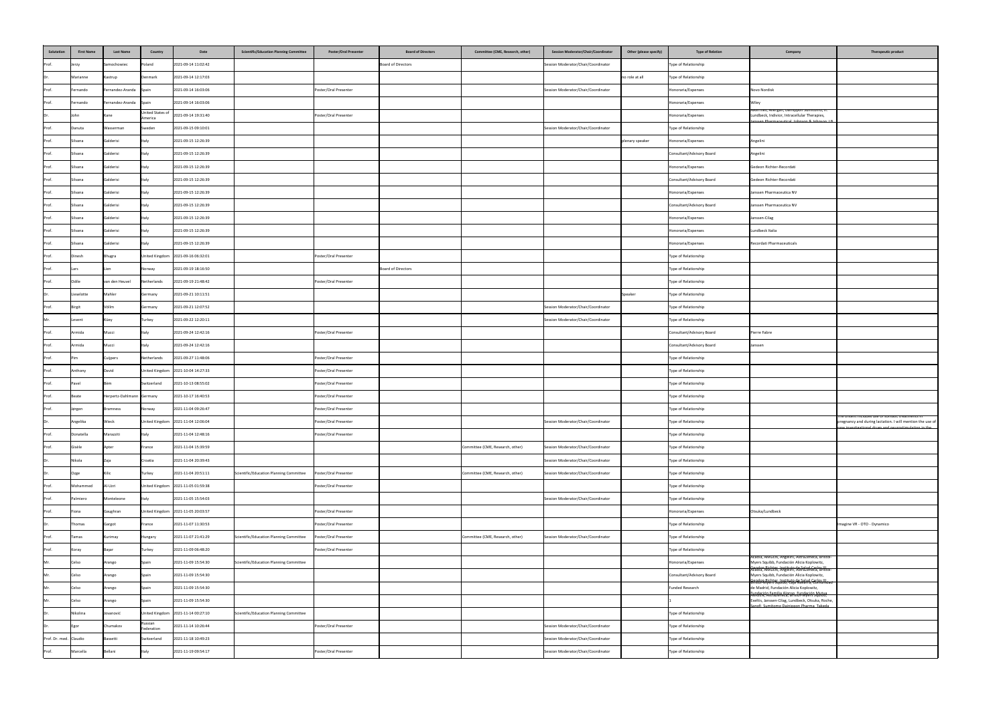| Salutation             | <b>First Name</b> | <b>Last Name</b>          | Country                     | Date                               | <b>Scientific/Education Planning Committee</b> | <b>Poster/Oral Presenter</b> | <b>Board of Directors</b> | Committee (CME, Research, other) | <b>Session Moderator/Chair/Coordinator</b> | <b>Other (please specify)</b> | <b>Type of Relation</b>   | Company                                                                                                                                           | Therapeutic product                                                              |
|------------------------|-------------------|---------------------------|-----------------------------|------------------------------------|------------------------------------------------|------------------------------|---------------------------|----------------------------------|--------------------------------------------|-------------------------------|---------------------------|---------------------------------------------------------------------------------------------------------------------------------------------------|----------------------------------------------------------------------------------|
| Prof.                  | Jerzy             | Samochowiec               | Poland                      | 2021-09-14 11:02:42                |                                                |                              | Board of Directors        |                                  | Session Moderator/Chair/Coordinator        |                               | Type of Relationship      |                                                                                                                                                   |                                                                                  |
| Dr.                    | Marianne          | Kastrup                   | Denmark                     | 2021-09-14 12:17:03                |                                                |                              |                           |                                  |                                            | no role at all                | Type of Relationship      |                                                                                                                                                   |                                                                                  |
| Prof.                  | Fernando          | Fernandez-Aranda Spain    |                             | 2021-09-14 16:03:06                |                                                | Poster/Oral Presenter        |                           |                                  | Session Moderator/Chair/Coordinator        |                               | Honoraria/Expenses        | Novo Nordisk                                                                                                                                      |                                                                                  |
| Prof.                  | Fernando          | Fernandez-Aranda Spain    |                             | 2021-09-14 16:03:06                |                                                |                              |                           |                                  |                                            |                               | Honoraria/Expenses        | Wiley                                                                                                                                             |                                                                                  |
| Dr.                    | John              | Kane                      | United States of<br>America | 2021-09-14 19:31:40                |                                                | Poster/Oral Presenter        |                           |                                  |                                            |                               | Honoraria/Expenses        | лкегтеs, Allergan, Dainippon Sumitomo, H.<br>Lundbeck, Indivior, Intracellular Therapies,<br>nssen Pharmaceutical Johnson & Johnson J.R.          |                                                                                  |
| Prof.                  | Danuta            | Wasserman                 | Sweden                      | 2021-09-15 09:10:01                |                                                |                              |                           |                                  | Session Moderator/Chair/Coordinator        |                               | Type of Relationship      |                                                                                                                                                   |                                                                                  |
| Prof.                  | Silvana           | Galderisi                 | Italy                       | 2021-09-15 12:26:39                |                                                |                              |                           |                                  |                                            | plenary speaker               | Honoraria/Expenses        | Angelini                                                                                                                                          |                                                                                  |
| Prof.                  | Silvana           | Galderisi                 | Italy                       | 2021-09-15 12:26:39                |                                                |                              |                           |                                  |                                            |                               | Consultant/Advisory Board | Angelini                                                                                                                                          |                                                                                  |
| Prof.                  | Silvana           | Galderisi                 | Italy                       | 2021-09-15 12:26:39                |                                                |                              |                           |                                  |                                            |                               | Honoraria/Expenses        | Gedeon Richter-Recordati                                                                                                                          |                                                                                  |
| Prof.                  | Silvana           | Galderisi                 | Italy                       | 2021-09-15 12:26:39                |                                                |                              |                           |                                  |                                            |                               | Consultant/Advisory Board | Gedeon Richter-Recordati                                                                                                                          |                                                                                  |
| Prof.                  | Silvana           | Galderisi                 | Italy                       | 2021-09-15 12:26:39                |                                                |                              |                           |                                  |                                            |                               | Honoraria/Expenses        | Janssen Pharmaceutica NV                                                                                                                          |                                                                                  |
| Prof.                  | Silvana           | Galderisi                 | Italy                       | 2021-09-15 12:26:39                |                                                |                              |                           |                                  |                                            |                               | Consultant/Advisory Board | Janssen Pharmaceutica NV                                                                                                                          |                                                                                  |
| Drof<br>$ $ PIUI.      | Silvana           | Galderisi                 | μιαιγ                       | 2021-09-15 12:26:39                |                                                |                              |                           |                                  |                                            |                               | Honoraria/Expenses        | Janssen-Cilag                                                                                                                                     |                                                                                  |
| Prof.                  | Silvana           | Galderisi                 | Italy                       | 2021-09-15 12:26:39                |                                                |                              |                           |                                  |                                            |                               | Honoraria/Expenses        | Lundbeck Italia                                                                                                                                   |                                                                                  |
| Prof.                  | Silvana           | Galderisi                 | Italy                       | 2021-09-15 12:26:39                |                                                |                              |                           |                                  |                                            |                               | Honoraria/Expenses        | Recordati Pharmaceuticals                                                                                                                         |                                                                                  |
| Prof.                  | Dinesh            | Bhugra                    |                             | United Kingdom 2021-09-16 06:32:01 |                                                | Poster/Oral Presenter        |                           |                                  |                                            |                               | Type of Relationship      |                                                                                                                                                   |                                                                                  |
| Prof.                  | Lars              |                           | Norway                      | 2021-09-19 18:16:50                |                                                |                              | Board of Directors        |                                  |                                            |                               | Type of Relationship      |                                                                                                                                                   |                                                                                  |
| Prof.                  | Odile             | van den Heuvel            | Netherlands                 | 2021-09-19 21:48:42                |                                                | Poster/Oral Presenter        |                           |                                  |                                            |                               | Type of Relationship      |                                                                                                                                                   |                                                                                  |
| Dr.                    | Lieselotte        | Mahler                    | Germany                     | 2021-09-21 10:11:51                |                                                |                              |                           |                                  |                                            | Speaker                       | Type of Relationship      |                                                                                                                                                   |                                                                                  |
| Prof.                  | Birgit            | Völlm                     | Germany                     | 2021-09-21 12:07:52                |                                                |                              |                           |                                  | Session Moderator/Chair/Coordinator        |                               | Type of Relationship      |                                                                                                                                                   |                                                                                  |
| Mr.                    | Levent            | Küey                      | Turkey                      | 2021-09-22 12:20:11                |                                                |                              |                           |                                  | Session Moderator/Chair/Coordinator        |                               | Type of Relationship      |                                                                                                                                                   |                                                                                  |
| Prof.                  | Armida            | Mucci                     | Italy                       | 2021-09-24 12:42:16                |                                                | Poster/Oral Presenter        |                           |                                  |                                            |                               | Consultant/Advisory Board | Pierre Fabre                                                                                                                                      |                                                                                  |
| Prof.                  | Armida            | Mucci                     | Italy                       | 2021-09-24 12:42:16                |                                                |                              |                           |                                  |                                            |                               | Consultant/Advisory Board | Janssen                                                                                                                                           |                                                                                  |
| Prof.                  | <b>Pim</b>        | Cuijpers                  | Netherlands                 | 2021-09-27 11:48:06                |                                                | Poster/Oral Presenter        |                           |                                  |                                            |                               | Type of Relationship      |                                                                                                                                                   |                                                                                  |
| Prof.                  | Anthony           | David                     |                             | United Kingdom 2021-10-04 14:27:33 |                                                | Poster/Oral Presenter        |                           |                                  |                                            |                               | Type of Relationship      |                                                                                                                                                   |                                                                                  |
| Prof.                  | Pavel             |                           | Switzerland                 | 2021-10-13 08:55:02                |                                                | Poster/Oral Presenter        |                           |                                  |                                            |                               | Type of Relationship      |                                                                                                                                                   |                                                                                  |
| Prof.                  | <b>Beate</b>      | Herpertz-Dahlmann Germany |                             | 2021-10-17 16:40:53                |                                                | Poster/Oral Presenter        |                           |                                  |                                            |                               | Type of Relationship      |                                                                                                                                                   |                                                                                  |
| Prof.                  | Jørgen            | <b>Bramness</b>           | Norway                      | 2021-11-04 09:26:47                |                                                | Poster/Oral Presenter        |                           |                                  |                                            |                               | Type of Relationship      |                                                                                                                                                   |                                                                                  |
| Dr.                    | Angelika          | Wieck                     |                             | United Kingdom 2021-11-04 12:06:04 |                                                | Poster/Oral Presenter        |                           |                                  | Session Moderator/Chair/Coordinator        |                               | Type of Relationship      |                                                                                                                                                   | The ontent includes use of somatic tre<br>pregnancy and during lactation. I will |
| Prof.                  | Donatella         | Marazziti                 | Italy                       | 2021-11-04 12:48:16                |                                                | Poster/Oral Presenter        |                           |                                  |                                            |                               | Type of Relationship      |                                                                                                                                                   | ew investigational drugs and neuros!                                             |
| Prof.                  | Gisèle            | <b>\pter</b>              | France                      | 2021-11-04 15:39:59                |                                                |                              |                           | Committee (CME, Research, other) | Session Moderator/Chair/Coordinator        |                               | Type of Relationship      |                                                                                                                                                   |                                                                                  |
| Dr.                    | Nikola            |                           | Croatia                     | 2021-11-04 20:39:43                |                                                |                              |                           |                                  | Session Moderator/Chair/Coordinator        |                               | Type of Relationship      |                                                                                                                                                   |                                                                                  |
| Dr.                    | Ozge              |                           | Turkey                      | 2021-11-04 20:51:11                | Scientific/Education Planning Committee        | Poster/Oral Presenter        |                           | Committee (CME, Research, other) | Session Moderator/Chair/Coordinator        |                               | Type of Relationship      |                                                                                                                                                   |                                                                                  |
| Prof.                  | Mohammed          | Al-Uzri                   |                             | United Kingdom 2021-11-05 01:59:38 |                                                | Poster/Oral Presenter        |                           |                                  |                                            |                               | Type of Relationship      |                                                                                                                                                   |                                                                                  |
| Prof.                  | Palmiero          | Monteleone                | Italy                       | 2021-11-05 15:54:03                |                                                |                              |                           |                                  | Session Moderator/Chair/Coordinator        |                               | Type of Relationship      |                                                                                                                                                   |                                                                                  |
| Prof.                  | Fiona             | Gaughran                  |                             | United Kingdom 2021-11-05 20:03:57 |                                                | Poster/Oral Presenter        |                           |                                  |                                            |                               | Honoraria/Expenses        | Otsuka/Lundbeck                                                                                                                                   |                                                                                  |
| Dr.                    | Thomas            | Gargot                    | France                      | 2021-11-07 11:30:53                |                                                | Poster/Oral Presenter        |                           |                                  |                                            |                               | Type of Relationship      |                                                                                                                                                   | Imagine VR - OTO - Dynamico                                                      |
| Prof.                  | <b>Tamas</b>      | Kurimay                   | Hungary                     | 2021-11-07 21:41:29                | Scientific/Education Planning Committee        | Poster/Oral Presenter        |                           | Committee (CME, Research, other) | Session Moderator/Chair/Coordinator        |                               | Type of Relationship      |                                                                                                                                                   |                                                                                  |
| Prof.                  | Koray             | Basar                     | Turkey                      | 2021-11-09 06:48:20                |                                                | Poster/Oral Presenter        |                           |                                  |                                            |                               | Type of Relationship      |                                                                                                                                                   |                                                                                  |
| Mr.                    | Celso             | Arango                    | Spain                       | 2021-11-09 15:54:30                | Scientific/Education Planning Committee        |                              |                           |                                  |                                            |                               | Honoraria/Expenses        | Acadia, AMGEN, Angelini, AstraZeneca, Bristol-<br>Myers Squibb, Fundación Alicia Koplowitz,                                                       |                                                                                  |
| Mr.                    | Celso             | Arango                    | Spain                       | 2021-11-09 15:54:30                |                                                |                              |                           |                                  |                                            |                               | Consultant/Advisory Board | Reodon Richter, Instituto de Salud Carlos III.<br> Acadia, AMGEN, Angelini, Astrazeneca, Bristoi-<br>Myers Squibb, Fundación Alicia Koplowitz,    |                                                                                  |
| Mr.                    | Celso             | Arango                    | Spain                       | 2021-11-09 15:54:30                |                                                |                              |                           |                                  |                                            |                               | Funded Research           | l<br> Geodon Richter, Instituto de Salud Carlos III<br> Bristol-Myers Squibb, Caja Navarra, Comunidad<br>de Madrid, Fundación Alicia Koplowitz,   |                                                                                  |
| Mr.                    | Celso             | Arango                    | Spain                       | 2021-11-09 15:54:30                |                                                |                              |                           |                                  |                                            |                               |                           | -<br> Eundación Familia Alonso, Fundación Mutua<br> AWGEN, Astrazeneca, Bristol-Wyers Squibb,<br>Exeltis, Janssen-Cilag, Lundbeck, Otsuka, Roche, |                                                                                  |
| Dr.                    | Nikolina          | Jovanović                 |                             | United Kingdom 2021-11-14 00:27:10 | Scientific/Education Planning Committee        |                              |                           |                                  |                                            |                               | Type of Relationship      | anofi Sumitomo Daininnon Pharma Takeda                                                                                                            |                                                                                  |
| Dr.                    | Egor              | Chumakov                  | Russian                     | 2021-11-14 10:26:44                |                                                | Poster/Oral Presenter        |                           |                                  | Session Moderator/Chair/Coordinator        |                               | Type of Relationship      |                                                                                                                                                   |                                                                                  |
| Prof. Dr. med. Claudio |                   | Bassetti                  | Federation<br>Switzerland   | 2021-11-18 10:49:23                |                                                |                              |                           |                                  | Session Moderator/Chair/Coordinator        |                               | Type of Relationship      |                                                                                                                                                   |                                                                                  |
| Prof.                  | Marcella          | Bellani                   |                             | 2021-11-19 09:54:17                |                                                | Poster/Oral Presenter        |                           |                                  | Session Moderator/Chair/Coordinator        |                               | Type of Relationship      |                                                                                                                                                   |                                                                                  |
|                        |                   |                           |                             |                                    |                                                |                              |                           |                                  |                                            |                               |                           |                                                                                                                                                   |                                                                                  |

| her (please specify) | <b>Type of Relation</b>   | Company                                                                                                                                        | <b>Therapeutic product</b>                                                                                         |
|----------------------|---------------------------|------------------------------------------------------------------------------------------------------------------------------------------------|--------------------------------------------------------------------------------------------------------------------|
|                      | Type of Relationship      |                                                                                                                                                |                                                                                                                    |
| le at all            | Type of Relationship      |                                                                                                                                                |                                                                                                                    |
|                      | Honoraria/Expenses        | Novo Nordisk                                                                                                                                   |                                                                                                                    |
|                      | Honoraria/Expenses        | Wiley                                                                                                                                          |                                                                                                                    |
|                      | Honoraria/Expenses        | AIKermes, Allergan, Dainippon Sumitomo, H.<br>Lundbeck, Indivior, Intracellular Therapies,<br>Jancson Pharmacoutical Johnson & Johnson J.R.    |                                                                                                                    |
|                      | Type of Relationship      |                                                                                                                                                |                                                                                                                    |
| ry speaker           | Honoraria/Expenses        | Angelini                                                                                                                                       |                                                                                                                    |
|                      | Consultant/Advisory Board | Angelini                                                                                                                                       |                                                                                                                    |
|                      | Honoraria/Expenses        | Gedeon Richter-Recordati                                                                                                                       |                                                                                                                    |
|                      | Consultant/Advisory Board | Gedeon Richter-Recordati                                                                                                                       |                                                                                                                    |
|                      | Honoraria/Expenses        | Janssen Pharmaceutica NV                                                                                                                       |                                                                                                                    |
|                      | Consultant/Advisory Board | Janssen Pharmaceutica NV                                                                                                                       |                                                                                                                    |
|                      | Honoraria/Expenses        | Janssen-Cilag                                                                                                                                  |                                                                                                                    |
|                      | Honoraria/Expenses        | Lundbeck Italia                                                                                                                                |                                                                                                                    |
|                      | Honoraria/Expenses        | Recordati Pharmaceuticals                                                                                                                      |                                                                                                                    |
|                      | Type of Relationship      |                                                                                                                                                |                                                                                                                    |
|                      | Type of Relationship      |                                                                                                                                                |                                                                                                                    |
|                      | Type of Relationship      |                                                                                                                                                |                                                                                                                    |
| er:                  | Type of Relationship      |                                                                                                                                                |                                                                                                                    |
|                      | Type of Relationship      |                                                                                                                                                |                                                                                                                    |
|                      | Type of Relationship      |                                                                                                                                                |                                                                                                                    |
|                      | Consultant/Advisory Board | Pierre Fabre                                                                                                                                   |                                                                                                                    |
|                      | Consultant/Advisory Board | Janssen                                                                                                                                        |                                                                                                                    |
|                      | Type of Relationship      |                                                                                                                                                |                                                                                                                    |
|                      | Type of Relationship      |                                                                                                                                                |                                                                                                                    |
|                      | Type of Relationship      |                                                                                                                                                |                                                                                                                    |
|                      | Type of Relationship      |                                                                                                                                                |                                                                                                                    |
|                      | Type of Relationship      |                                                                                                                                                | The ontent includes use of somatic treatments in                                                                   |
|                      | Type of Relationship      |                                                                                                                                                | pregnancy and during lactation. I will mention the use of<br>new investigational drugs and neurostimulation in the |
|                      | Type of Relationship      |                                                                                                                                                |                                                                                                                    |
|                      | Type of Relationship      |                                                                                                                                                |                                                                                                                    |
|                      | Type of Relationship      |                                                                                                                                                |                                                                                                                    |
|                      | Type of Relationship      |                                                                                                                                                |                                                                                                                    |
|                      | Type of Relationship      |                                                                                                                                                |                                                                                                                    |
|                      | Type of Relationship      |                                                                                                                                                |                                                                                                                    |
|                      | Honoraria/Expenses        | Otsuka/Lundbeck                                                                                                                                |                                                                                                                    |
|                      | Type of Relationship      |                                                                                                                                                | Imagine VR - OTO - Dynamico                                                                                        |
|                      | Type of Relationship      |                                                                                                                                                |                                                                                                                    |
|                      | Type of Relationship      | Acadia, AMGEN, Angelini, AstraZeneca, Bristol-                                                                                                 |                                                                                                                    |
|                      | Honoraria/Expenses        | Myers Squibb, Fundación Alicia Koplowitz,<br>Geodon Richter Instituto de Salud Carlos III<br>Acadia, Alvigen, Angelini, Astrazeneca, Bristoi-  |                                                                                                                    |
|                      | Consultant/Advisory Board | Myers Squibb, Fundación Alicia Koplowitz,<br>l Geodon Richter, Instituto de Salud Carlos III<br> Bristol-Myers Squibb, Caja Navarra, Comunidad |                                                                                                                    |
|                      | <b>Funded Research</b>    | de Madrid, Fundación Alicia Koplowitz,<br> <br> Eundación Familia Alonso, Eundación Mutua<br> AMGEN, AstraZeneca, Bristol-Myers Squibb,        |                                                                                                                    |
|                      |                           | Exeltis, Janssen-Cilag, Lundbeck, Otsuka, Roche,<br>Sanofi Sumitomo Daininnon Pharma Takeda                                                    |                                                                                                                    |
|                      | Type of Relationship      |                                                                                                                                                |                                                                                                                    |
|                      | Type of Relationship      |                                                                                                                                                |                                                                                                                    |
|                      | Type of Relationship      |                                                                                                                                                |                                                                                                                    |
|                      | Type of Relationship      |                                                                                                                                                |                                                                                                                    |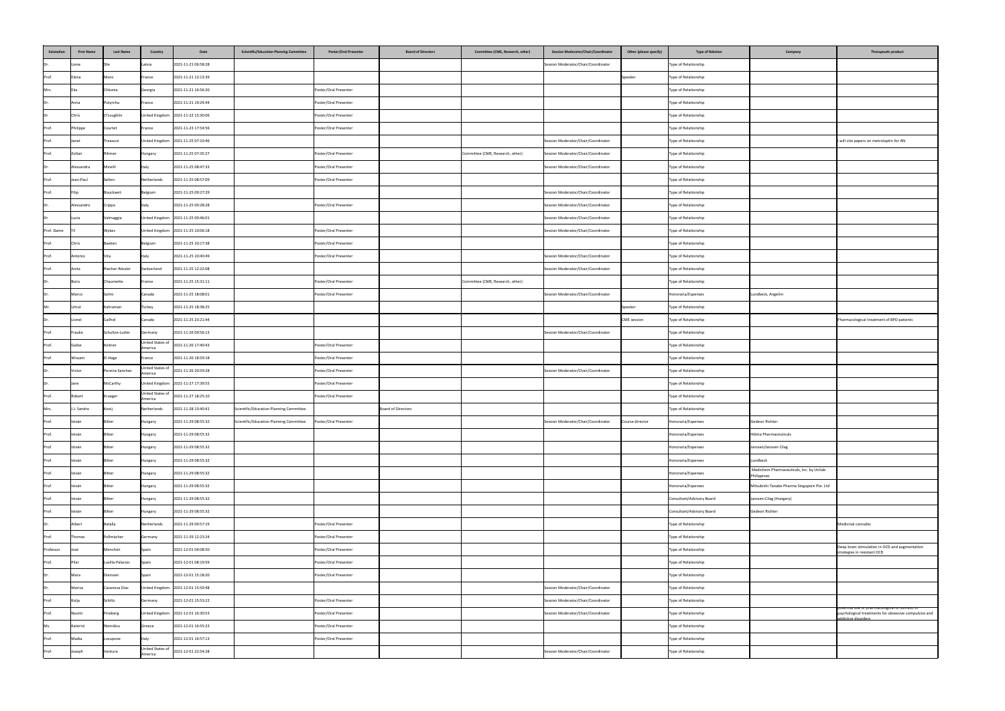| Salutation   | <b>First Name</b> | <b>Last Name</b>         | <b>Country</b>              | <b>Scientific/Education Planning Committee</b><br>Date         | <b>Poster/Oral Presenter</b>                   | <b>Board of Directors</b> | <b>Committee (CME, Research, other)</b> | <b>Session Moderator/Chair/Coordinator</b>                                 | Other (please specify) | <b>Type of Relation</b>                      | Company                                              | <b>Therapeutic product</b>                                                   |
|--------------|-------------------|--------------------------|-----------------------------|----------------------------------------------------------------|------------------------------------------------|---------------------------|-----------------------------------------|----------------------------------------------------------------------------|------------------------|----------------------------------------------|------------------------------------------------------|------------------------------------------------------------------------------|
| Dr.          | Liene             |                          | Latvia                      | 2021-11-21 06:58:28                                            |                                                |                           |                                         | Session Moderator/Chair/Coordinator                                        |                        | Type of Relationship                         |                                                      |                                                                              |
| Prof.        | Elena             | Moro                     | France                      | 2021-11-21 12:13:39                                            |                                                |                           |                                         |                                                                            | Speaker                | Type of Relationship                         |                                                      |                                                                              |
| Mrs.         |                   | Chkonia                  | Georgia                     | 2021-11-21 16:56:20                                            | Poster/Oral Presenter                          |                           |                                         |                                                                            |                        | Type of Relationship                         |                                                      |                                                                              |
| Dr.          | Anna              | Potyrcha                 | France                      | 2021-11-21 19:24:44                                            | Poster/Oral Presenter                          |                           |                                         |                                                                            |                        | Type of Relationship                         |                                                      |                                                                              |
| Dr           | Chris             | O'Loughlin               |                             | United Kingdom 2021-11-22 15:30:06                             | Poster/Oral Presenter                          |                           |                                         |                                                                            |                        | Type of Relationship                         |                                                      |                                                                              |
| Prof.        | Philippe          | Courtet                  | France                      | 2021-11-23 17:54:56                                            | Poster/Oral Presenter                          |                           |                                         |                                                                            |                        | Type of Relationship                         |                                                      |                                                                              |
| Prof.        | Janet             | Treasure                 |                             | United Kingdom 2021-11-25 07:10:46                             |                                                |                           |                                         | Session Moderator/Chair/Coordinator                                        |                        | Type of Relationship                         |                                                      | i will cite papers on metroleptin for AN                                     |
| Prof.        | Zoltan            | Rihmer                   | Hungary                     | 2021-11-25 07:35:27                                            | Poster/Oral Presenter                          |                           | Committee (CME, Research, other)        | Session Moderator/Chair/Coordinator                                        |                        | Type of Relationship                         |                                                      |                                                                              |
| Dr.          | Alessandra        | Minelli                  | Italy                       | 2021-11-25 08:47:33                                            | Poster/Oral Presenter                          |                           |                                         | Session Moderator/Chair/Coordinator                                        |                        | Type of Relationship                         |                                                      |                                                                              |
| Prof.        | Jean-Paul         | Selten                   | Netherlands                 | 2021-11-25 08:57:09                                            | Poster/Oral Presenter                          |                           |                                         |                                                                            |                        | Type of Relationship                         |                                                      |                                                                              |
| Prof.        |                   | Bouckaert                | Belgium                     | 2021-11-25 09:27:29                                            |                                                |                           |                                         | Session Moderator/Chair/Coordinator                                        |                        | Type of Relationship                         |                                                      |                                                                              |
| Dr.          | Alessandro        | Crippa                   | <b>I</b> taly               | 2021-11-25 09:28:28                                            | Poster/Oral Presenter                          |                           |                                         | Session Moderator/Chair/Coordinator                                        |                        | Type of Relationship                         |                                                      |                                                                              |
| Dr           | Lucia             | Valmaggia                |                             | United Kingdom 2021-11-25 09:46:01                             |                                                |                           |                                         | Session Moderator/Chair/Coordinator                                        |                        | Type of Relationship                         |                                                      |                                                                              |
| Prof. Dame   |                   | Wykes                    |                             | United Kingdom 2021-11-25 10:06:18                             | Poster/Oral Presenter                          |                           |                                         | Session Moderator/Chair/Coordinator                                        |                        | Type of Relationship                         |                                                      |                                                                              |
| Prof.        | Chris             | Baeken                   | Belgium                     | 2021-11-25 10:17:38                                            | Poster/Oral Presenter                          |                           |                                         |                                                                            |                        | Type of Relationship                         |                                                      |                                                                              |
| Prof.        | Antonio           | Vita                     | Italy                       | 2021-11-25 10:40:49                                            | Poster/Oral Presenter                          |                           |                                         | Session Moderator/Chair/Coordinator                                        |                        | Type of Relationship                         |                                                      |                                                                              |
| Prof.        | Anita             | Riecher-Rössler          | Switzerland                 | 2021-11-25 12:22:08                                            |                                                |                           |                                         | Session Moderator/Chair/Coordinator                                        |                        | Type of Relationship                         |                                                      |                                                                              |
| Dr.          | <b>Boris</b>      | Chaumette                | France                      | 2021-11-25 15:31:11                                            | Poster/Oral Presenter                          |                           | Committee (CME, Research, other)        |                                                                            |                        | Type of Relationship                         |                                                      |                                                                              |
| Dr.          | Marco             | ISolmi                   | Canada                      | 2021-11-25 18:08:01                                            | Poster/Oral Presenter                          |                           |                                         | Session Moderator/Chair/Coordinator                                        |                        | Honoraria/Expenses                           | Lundbeck, Angelini                                   |                                                                              |
| Mr.          | Umut              | Kahraman                 | Turkey                      | 2021-11-25 18:38:25                                            |                                                |                           |                                         |                                                                            | Speaker                | Type of Relationship                         |                                                      |                                                                              |
| Dr.          | Lionel            | Cailhol                  | Canada                      | 2021-11-25 23:21:44                                            |                                                |                           |                                         |                                                                            | CME session            | Type of Relationship                         |                                                      | Pharmacological treatment of BPD patients                                    |
| Prof.        | Frauke            | Schultze-Lutter          | Germany                     | 2021-11-26 09:56:13                                            |                                                |                           |                                         | Session Moderator/Chair/Coordinator                                        |                        | Type of Relationship                         |                                                      |                                                                              |
| Prof.        | Gabor             | Keitner                  | United States of<br>America | 2021-11-26 17:40:43                                            | Poster/Oral Presenter                          |                           |                                         |                                                                            |                        | Type of Relationship                         |                                                      |                                                                              |
| Prof.        | Wissam            | El-Hage                  | France<br>United States of  | 2021-11-26 18:59:18                                            | Poster/Oral Presenter                          |                           |                                         |                                                                            |                        | Type of Relationship                         |                                                      |                                                                              |
| Dr.          | Victor            | Pereira-Sanchez          | America                     | 2021-11-26 20:59:28                                            | Poster/Oral Presenter                          |                           |                                         | Session Moderator/Chair/Coordinator                                        |                        | Type of Relationship                         |                                                      |                                                                              |
| IDr. I       | <b>Jane</b>       | McCarthy                 |                             | United Kingdom 2021-11-27 17:39:55                             | Poster/Oral Presenter                          |                           |                                         |                                                                            |                        | Type of Relationship                         |                                                      |                                                                              |
| Prof.        | Robert            | Krueger                  | America                     | United States of 2021-11-27 18:25:10                           | Poster/Oral Presenter                          |                           |                                         |                                                                            |                        | Type of Relationship                         |                                                      |                                                                              |
| Mrs.         | J.J. Sandra       | Kooij                    | Netherlands                 | 2021-11-28 13:40:41<br>Scientific/Education Planning Committee |                                                | Board of Directors        |                                         |                                                                            |                        | Type of Relationship                         |                                                      |                                                                              |
| Prof.        | István            | Bitter                   | Hungary                     | Scientific/Education Planning Committee<br>2021-11-29 08:55:32 | Poster/Oral Presenter                          |                           |                                         | Session Moderator/Chair/Coordinator                                        | Course director        | Honoraria/Expenses                           | Gedeon Richter                                       |                                                                              |
| Prof.        | István            | Bitter                   | Hungary                     | 2021-11-29 08:55:32                                            |                                                |                           |                                         |                                                                            |                        | Honoraria/Expenses                           | Hikma Pharmaceuticals                                |                                                                              |
| Prof.        | István            | Bitter                   | Hungary                     | 2021-11-29 08:55:32                                            |                                                |                           |                                         |                                                                            |                        | Honoraria/Expenses                           | Janssen/Janssen Cilag                                |                                                                              |
| Prof.        | István            | <b>Bitter</b>            | Hungary                     | 2021-11-29 08:55:32                                            |                                                |                           |                                         |                                                                            |                        | Honoraria/Expenses                           | Lundbeck<br>Medichem Pharmaceuticals, Inc. by Unilab |                                                                              |
| Prof.        | István            | <b>Bitter</b>            | Hungary                     | 2021-11-29 08:55:32                                            |                                                |                           |                                         |                                                                            |                        | Honoraria/Expenses                           | Philippines                                          |                                                                              |
| Prof.        | István            | <b>Bitter</b>            | Hungary                     | 2021-11-29 08:55:32                                            |                                                |                           |                                         |                                                                            |                        | Honoraria/Expenses                           | Mitsubishi Tanabe Pharma Singapore Pte. Ltd          |                                                                              |
| Prof.        | István            | Bitter                   | Hungary                     | 2021-11-29 08:55:32                                            |                                                |                           |                                         |                                                                            |                        | Consultant/Advisory Board                    | Janssen-Cilag (Hungary)                              |                                                                              |
| Prof.        | István            | Bitter                   | Hungary                     | 2021-11-29 08:55:32                                            |                                                |                           |                                         |                                                                            |                        | Consultant/Advisory Board                    | Gedeon Richter                                       |                                                                              |
| Dr.          | Albert            | Batalla                  | Netherlands                 | 2021-11-29 09:57:19                                            | Poster/Oral Presenter                          |                           |                                         |                                                                            |                        | Type of Relationship                         |                                                      | Medicinal cannabis                                                           |
| Prof.        | Thomas            | Pollmächer<br>Menchón    | Germany                     | 2021-11-29 12:23:24                                            | Poster/Oral Presenter                          |                           |                                         |                                                                            |                        | Type of Relationship                         |                                                      | Deep brain stimulation in OCD and augmentation                               |
| Professor    | José              |                          | Spain                       | 2021-12-01 04:08:50                                            | Poster/Oral Presenter                          |                           |                                         |                                                                            |                        | Type of Relationship                         |                                                      | strategies in resistant OCD                                                  |
| Prof.        | Pilar             | Lusilla-Palacios         | Spain                       | 2021-12-01 08:19:59                                            | Poster/Oral Presenter                          |                           |                                         |                                                                            |                        | Type of Relationship                         |                                                      |                                                                              |
| Dr.          | Mara              | Dierssen                 | Spain                       | 2021-12-01 15:18:20                                            | Poster/Oral Presenter                          |                           |                                         |                                                                            |                        | Type of Relationship                         |                                                      |                                                                              |
| Dr.          | Marisa            | Casanova Dias<br>Schiltz |                             | United Kingdom 2021-12-01 15:50:48                             |                                                |                           |                                         | Session Moderator/Chair/Coordinator                                        |                        | Type of Relationship                         |                                                      |                                                                              |
| Prof.        | Kolja<br>Naomi    |                          | Germany                     | 2021-12-01 15:53:22                                            | Poster/Oral Presenter<br>Poster/Oral Presenter |                           |                                         | Session Moderator/Chair/Coordinator<br>Session Moderator/Chair/Coordinator |                        | Type of Relationship                         |                                                      | potential use of pharmacological or somatic or                               |
| Prof.<br>Ms. | Katerini          | Fineberg<br>Nomidou      | Greece                      | United Kingdom 2021-12-01 16:30:53<br>2021-12-01 16:55:23      | Poster/Oral Presenter                          |                           |                                         |                                                                            |                        | Type of Relationship<br>Type of Relationship |                                                      | psychological treatments for obsessive compulsive and<br>addictive disorders |
| Prof.        | Madia             |                          |                             | 2021-12-01 16:57:13                                            | Poster/Oral Presenter                          |                           |                                         |                                                                            |                        | Type of Relationship                         |                                                      |                                                                              |
|              | Joseph            | Lozupone                 | Italy<br>United States of   | 2021-12-01 22:54:28                                            |                                                |                           |                                         |                                                                            |                        |                                              |                                                      |                                                                              |
| Prof.        |                   | Ventura                  | America                     |                                                                |                                                |                           |                                         | Session Moderator/Chair/Coordinator                                        |                        | Type of Relationship                         |                                                      |                                                                              |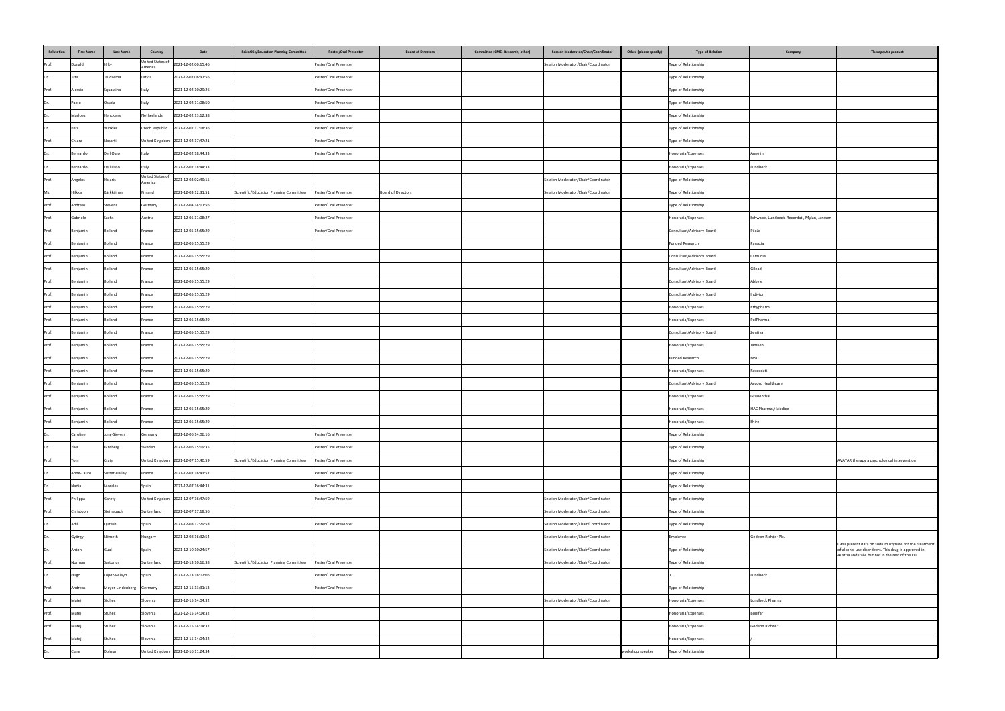| Salutation   | <b>First Name</b> | <b>Last Name</b>         | <b>Country</b>              | <b>Scientific/Education Planning Committee</b><br>Date                          | <b>Poster/Oral Presenter</b><br><b>Board of Directors</b> | Committee (CME, Research, other) | Other (please specify)<br><b>Session Moderator/Chair/Coordinator</b> | <b>Type of Relation</b>   | Company                                      | Therapeutic product                                                                                                                                              |
|--------------|-------------------|--------------------------|-----------------------------|---------------------------------------------------------------------------------|-----------------------------------------------------------|----------------------------------|----------------------------------------------------------------------|---------------------------|----------------------------------------------|------------------------------------------------------------------------------------------------------------------------------------------------------------------|
| Prof.        | Donald            |                          | America                     | United States of 2021-12-02 00:15:46                                            | Poster/Oral Presenter                                     |                                  | Session Moderator/Chair/Coordinator                                  | Type of Relationship      |                                              |                                                                                                                                                                  |
| Dr           | Juta              | Jaudzema                 | Latvia                      | 2021-12-02 06:37:56                                                             | Poster/Oral Presenter                                     |                                  |                                                                      | Type of Relationship      |                                              |                                                                                                                                                                  |
| Prof.        | Alessio           | Squassina                | Italy                       | 2021-12-02 10:29:26                                                             | Poster/Oral Presenter                                     |                                  |                                                                      | Type of Relationship      |                                              |                                                                                                                                                                  |
| IDr.         | Paolo             | Ossola                   | Italy                       | 2021-12-02 11:08:50                                                             | Poster/Oral Presenter                                     |                                  |                                                                      | Type of Relationship      |                                              |                                                                                                                                                                  |
| Dr           | Marloes           | Henckens                 | Netherlands                 | 2021-12-02 13:12:38                                                             | Poster/Oral Presenter                                     |                                  |                                                                      | Type of Relationship      |                                              |                                                                                                                                                                  |
| Dr           | Petr              | Winkler                  |                             | Czech Republic 2021-12-02 17:18:36                                              | Poster/Oral Presenter                                     |                                  |                                                                      | Type of Relationship      |                                              |                                                                                                                                                                  |
| Prof.        | Chiara            | Nosarti                  |                             | United Kingdom 2021-12-02 17:47:21                                              | Poster/Oral Presenter                                     |                                  |                                                                      | Type of Relationship      |                                              |                                                                                                                                                                  |
| IDr.         | Bernardo          | Dell'Osso                | Italy                       | 2021-12-02 18:44:33                                                             | Poster/Oral Presenter                                     |                                  |                                                                      | Honoraria/Expenses        | Angelini                                     |                                                                                                                                                                  |
| IDr.         | Bernardo          | Dell'Osso                | Italy                       | 2021-12-02 18:44:33                                                             |                                                           |                                  |                                                                      | Honoraria/Expenses        | Lundbeck                                     |                                                                                                                                                                  |
| Prof.        | Angelos           | Halaris                  | United States of<br>America | 2021-12-03 02:49:15                                                             |                                                           |                                  | Session Moderator/Chair/Coordinator                                  | Type of Relationship      |                                              |                                                                                                                                                                  |
| Ms.          | Hilkka            | Kärkkäinen               | Finland                     | Scientific/Education Planning Committee<br>2021-12-03 12:31:51                  | Poster/Oral Presenter<br>Board of Directors               |                                  | Session Moderator/Chair/Coordinator                                  | Type of Relationship      |                                              |                                                                                                                                                                  |
| Prof.        | Andreas           | Stevens                  | Germany                     | 2021-12-04 14:11:56                                                             | Poster/Oral Presenter                                     |                                  |                                                                      | Type of Relationship      |                                              |                                                                                                                                                                  |
| <b>Prof.</b> | Gabriele          | arhc<br>,,,,,            | <b>ustria</b>               | 2021-12-05 11:08:27                                                             | Poster/Oral Presenter                                     |                                  |                                                                      | Honoraria/Expenses        | Schwabe, Lundbeck, Recordati, Mylan, Janssen |                                                                                                                                                                  |
| Prof.        | Benjamin          | Rolland                  | France                      | 2021-12-05 15:55:29                                                             | Poster/Oral Presenter                                     |                                  |                                                                      | Consultant/Advisory Board | PileJe                                       |                                                                                                                                                                  |
| Prof.        | Benjamin          | Rolland                  | France                      | 2021-12-05 15:55:29                                                             |                                                           |                                  |                                                                      | Funded Research           | Panaxia                                      |                                                                                                                                                                  |
| Prof.        | Benjamin          | Rolland                  | France                      | 2021-12-05 15:55:29                                                             |                                                           |                                  |                                                                      | Consultant/Advisory Board | Camurus                                      |                                                                                                                                                                  |
| Prof.        | Benjamin          | Rolland                  | France                      | 2021-12-05 15:55:29                                                             |                                                           |                                  |                                                                      | Consultant/Advisory Board | Gilead                                       |                                                                                                                                                                  |
| Prof.        | Benjamin          | Rolland                  | France                      | 2021-12-05 15:55:29                                                             |                                                           |                                  |                                                                      | Consultant/Advisory Board | Abbvie                                       |                                                                                                                                                                  |
| Prof.        | Benjamin          | Rolland                  | France                      | 2021-12-05 15:55:29                                                             |                                                           |                                  |                                                                      | Consultant/Advisory Board | Indivior                                     |                                                                                                                                                                  |
| Prof.        | Benjamin          | Rolland                  | France                      | 2021-12-05 15:55:29                                                             |                                                           |                                  |                                                                      | Honoraria/Expenses        | Ethypharm                                    |                                                                                                                                                                  |
| Prof.        | Benjamin          | Rolland                  | France                      | 2021-12-05 15:55:29                                                             |                                                           |                                  |                                                                      | Honoraria/Expenses        | PolPharma                                    |                                                                                                                                                                  |
| Prof.        | Benjamin          | Rolland                  | France                      | 2021-12-05 15:55:29                                                             |                                                           |                                  |                                                                      | Consultant/Advisory Board | Zentiva                                      |                                                                                                                                                                  |
| Prof.        | Benjamin          | Rolland                  | France                      | 2021-12-05 15:55:29                                                             |                                                           |                                  |                                                                      | Honoraria/Expenses        | Janssen                                      |                                                                                                                                                                  |
| Prof.        | Benjamin          | Rolland                  | France                      | 2021-12-05 15:55:29                                                             |                                                           |                                  |                                                                      | Funded Research           | <b>MSD</b>                                   |                                                                                                                                                                  |
| Prof.        | Benjamin          | Rolland                  | France                      | 2021-12-05 15:55:29                                                             |                                                           |                                  |                                                                      | Honoraria/Expenses        | Recordati                                    |                                                                                                                                                                  |
| Prof.        | Benjamin          | Rolland                  | France                      | 2021-12-05 15:55:29                                                             |                                                           |                                  |                                                                      | Consultant/Advisory Board | Accord Healthcare                            |                                                                                                                                                                  |
| Prof.        | Benjamin          | Rolland                  | France                      | 2021-12-05 15:55:29                                                             |                                                           |                                  |                                                                      | Honoraria/Expenses        | Grünenthal                                   |                                                                                                                                                                  |
| Prof.        | Benjamin          | Rolland                  | France                      | 2021-12-05 15:55:29                                                             |                                                           |                                  |                                                                      | Honoraria/Expenses        | HAC Pharma / Medice                          |                                                                                                                                                                  |
| Prof.        | Benjamin          | Rolland                  | France                      | 2021-12-05 15:55:29                                                             |                                                           |                                  |                                                                      | Honoraria/Expenses        | Shire                                        |                                                                                                                                                                  |
| IDr          | Caroline          | Jung-Sievers             | Germany                     | 2021-12-06 14:06:16                                                             | Poster/Oral Presenter                                     |                                  |                                                                      | Type of Relationship      |                                              |                                                                                                                                                                  |
| IDr.         | Ylva              | Ginsberg                 | Sweden                      | 2021-12-06 15:19:35                                                             | Poster/Oral Presenter                                     |                                  |                                                                      | Type of Relationship      |                                              |                                                                                                                                                                  |
| Prof.        | Tom               | Craig                    |                             | United Kingdom   2021-12-07 15:40:59<br>Scientific/Education Planning Committee | Poster/Oral Presenter                                     |                                  |                                                                      | Type of Relationship      |                                              | AVATAR therapy a psychological intervention                                                                                                                      |
| Dr           | Anne-Laure        | Sutter-Dallay            | France                      | 2021-12-07 16:43:57                                                             | Poster/Oral Presenter                                     |                                  |                                                                      | Type of Relationship      |                                              |                                                                                                                                                                  |
| IDr.         | Nadia             | Morales                  | Spain                       | 2021-12-07 16:44:31                                                             | Poster/Oral Presenter                                     |                                  |                                                                      | Type of Relationship      |                                              |                                                                                                                                                                  |
| Prof.        | Philippa          | Garety                   |                             | United Kingdom 2021-12-07 16:47:59                                              | Poster/Oral Presenter                                     |                                  | Session Moderator/Chair/Coordinator                                  | Type of Relationship      |                                              |                                                                                                                                                                  |
| Prof.        | Christoph         | Steinebach               | Switzerland                 | 2021-12-07 17:18:56                                                             |                                                           |                                  | Session Moderator/Chair/Coordinator                                  | Type of Relationship      |                                              |                                                                                                                                                                  |
| IDr.         | Adil              | Qureshi                  | Spain                       | 2021-12-08 12:29:58                                                             | Poster/Oral Presenter                                     |                                  | Session Moderator/Chair/Coordinator                                  | Type of Relationship      |                                              |                                                                                                                                                                  |
| IDr          | György            | Németh                   | Hungary                     | 2021-12-08 16:32:54                                                             |                                                           |                                  | Session Moderator/Chair/Coordinator                                  | Employee                  | Gedeon Richter Plc.                          |                                                                                                                                                                  |
| IDr.         | Antoni            |                          | Spain                       | 2021-12-10 10:24:57                                                             |                                                           |                                  | Session Moderator/Chair/Coordinator                                  | Type of Relationship      |                                              | will present data on sodium oxybate for the treatment<br>of alcohol use disordeers. This drug is approved in<br>Austria and Italy but not in the rest of the FIL |
| Prof.        | Norman            | Sartorius                | Switzerland                 | 2021-12-13 10:16:38<br>Scientific/Education Planning Committee                  | Poster/Oral Presenter                                     |                                  | Session Moderator/Chair/Coordinator                                  | Type of Relationship      |                                              |                                                                                                                                                                  |
| IDr.         | Hugo              | López-Pelayo             | Spain                       | 2021-12-13 16:02:06                                                             | Poster/Oral Presenter                                     |                                  |                                                                      |                           | Lundbeck                                     |                                                                                                                                                                  |
| Prof.        | Andreas           | Meyer-Lindenberg Germany |                             | 2021-12-15 13:31:13                                                             | Poster/Oral Presenter                                     |                                  |                                                                      | Type of Relationship      |                                              |                                                                                                                                                                  |
| Prof.        | Matej             | Stuhec                   | Slovenia                    | 2021-12-15 14:04:32                                                             |                                                           |                                  | Session Moderator/Chair/Coordinator                                  | Honoraria/Expenses        | Lundbeck Pharma                              |                                                                                                                                                                  |
| Prof.        | Matej             | Stuhec                   | Slovenia                    | 2021-12-15 14:04:32                                                             |                                                           |                                  |                                                                      | Honoraria/Expenses        | Bonifar                                      |                                                                                                                                                                  |
| Prof.        | Matej             | Stuhec                   | Slovenia                    | 2021-12-15 14:04:32                                                             |                                                           |                                  |                                                                      | Honoraria/Expenses        | Gedeon Richter                               |                                                                                                                                                                  |
| Prof.        | Matej             | Stuhec                   | Slovenia                    | 2021-12-15 14:04:32                                                             |                                                           |                                  |                                                                      | Honoraria/Expenses        |                                              |                                                                                                                                                                  |
|              | Clare             | Dolman                   |                             | United Kingdom 2021-12-16 11:24:34                                              |                                                           |                                  | workshop speaker                                                     | Type of Relationship      |                                              |                                                                                                                                                                  |
|              |                   |                          |                             |                                                                                 |                                                           |                                  |                                                                      |                           |                                              |                                                                                                                                                                  |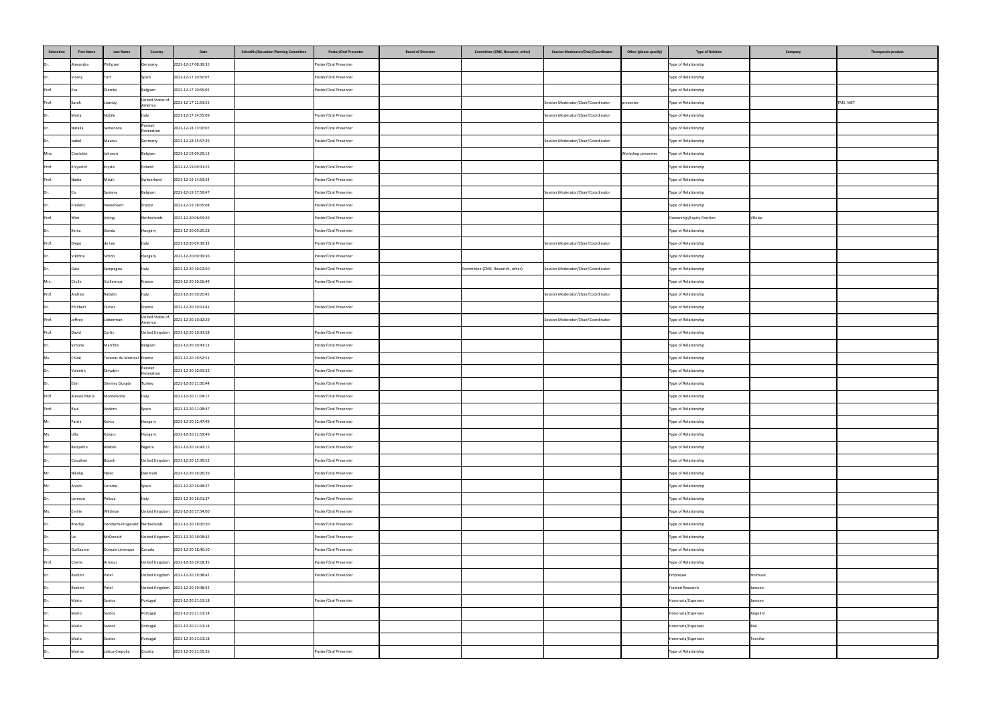| Salutation  | <b>First Name</b> | <b>Last Name</b>                | <b>Country</b>              | Date<br><b>Scientific/Education Planning Committee</b> | <b>Poster/Oral Presenter</b><br><b>Board of Directors</b> | <b>Committee (CME, Research, other)</b> | <b>Session Moderator/Chair/Coordinator</b> | Other (please specify) | <b>Type of Relation</b>   | Company<br>Therapeutic product |
|-------------|-------------------|---------------------------------|-----------------------------|--------------------------------------------------------|-----------------------------------------------------------|-----------------------------------------|--------------------------------------------|------------------------|---------------------------|--------------------------------|
| IDr.        | Alexandra         | Philipsen                       | Germany                     | 2021-12-17 08:39:35                                    | Poster/Oral Presenter                                     |                                         |                                            |                        | Type of Relationship      |                                |
| IDr         | Vicenç            |                                 | Spain                       | 2021-12-17 10:50:07                                    | Poster/Oral Presenter                                     |                                         |                                            |                        | Type of Relationship      |                                |
| Prof.       | lEva              | Dierckx                         | Belgium                     | 2021-12-17 10:55:05                                    | Poster/Oral Presenter                                     |                                         |                                            |                        | Type of Relationship      |                                |
| Prof.       | Sarah             | isanby                          | United States of<br>America | 2021-12-17 12:53:55                                    |                                                           |                                         | Session Moderator/Chair/Coordinator        | presenter              | Type of Relationship      | TMS, MST                       |
| IDr.        | Maria             | Nobile                          | Italy                       | 2021-12-17 14:55:09                                    | Poster/Oral Presenter                                     |                                         | Session Moderator/Chair/Coordinator        |                        | Type of Relationship      |                                |
| Dr          | Natalia           | Semenova                        | Russian<br>Federation       | 2021-12-18 13:00:07                                    | Poster/Oral Presenter                                     |                                         |                                            |                        | Type of Relationship      |                                |
| IDr.        | Isabel            | Maurus                          | Germany                     | 2021-12-18 15:57:29                                    | Poster/Oral Presenter                                     |                                         | Session Moderator/Chair/Coordinator        |                        | Type of Relationship      |                                |
| <b>Miss</b> | Charlotte         | Johnson                         | Belgium                     | 2021-12-19 09:29:13                                    |                                                           |                                         |                                            | Workshop presenter     | Type of Relationship      |                                |
| Prof.       | Krzysztof         | Krysta                          | Poland                      | 2021-12-19 09:31:25                                    | Poster/Oral Presenter                                     |                                         |                                            |                        | Type of Relationship      |                                |
| Prof.       | Nadia             | Micali                          | Switzerland                 | 2021-12-19 14:59:24                                    | Poster/Oral Presenter                                     |                                         |                                            |                        | Type of Relationship      |                                |
| IDr.        |                   | Santens                         | Belgium                     | 2021-12-19 17:59:47                                    | Poster/Oral Presenter                                     |                                         | Session Moderator/Chair/Coordinator        |                        | Type of Relationship      |                                |
| Dr.         | Frédéric          | Haesebaert                      | France                      | 2021-12-19 18:05:08                                    | Poster/Oral Presenter                                     |                                         |                                            |                        | Type of Relationship      |                                |
| Prof.       | Wim               | /eling                          | Netherlands                 | 2021-12-20 06:59:29                                    | Poster/Oral Presenter                                     |                                         |                                            |                        | Ownership/Equity Position | VRelax                         |
| IDr.        | Xenia             | Gonda                           | Hungary                     | 2021-12-20 09:25:28                                    | Poster/Oral Presenter                                     |                                         |                                            |                        | Type of Relationship      |                                |
| Prof.       | Diego             | de Leo                          | Italy                       | 2021-12-20 09:39:33                                    | Poster/Oral Presenter                                     |                                         | Session Moderator/Chair/Coordinator        |                        | Type of Relationship      |                                |
| IDr.        | Viktória          | Simon                           | Hungary                     | 2021-12-20 09:39:36                                    | Poster/Oral Presenter                                     |                                         |                                            |                        | Type of Relationship      |                                |
| IDr.        | Gaia              | Sampogna                        | Italy                       | 2021-12-20 10:12:50                                    | Poster/Oral Presenter                                     | Committee (CME, Research, other)        | Session Moderator/Chair/Coordinator        |                        | Type of Relationship      |                                |
| Mrs.        | Cécile            | Vuillermoz                      | France                      | 2021-12-20 10:16:49                                    | Poster/Oral Presenter                                     |                                         |                                            |                        | Type of Relationship      |                                |
| Prof.       | Andrea            | Raballo                         | Italy                       | 2021-12-20 10:20:45                                    |                                                           |                                         | Session Moderator/Chair/Coordinator        |                        | Type of Relationship      |                                |
| IDr.        | Philibert         | Duriez                          | France                      | 2021-12-20 10:31:41                                    | Poster/Oral Presenter                                     |                                         |                                            |                        | Type of Relationship      |                                |
| Prof.       | Jeffrey           | Lieberman                       | United States of<br>America | 2021-12-20 10:32:29                                    |                                                           |                                         | Session Moderator/Chair/Coordinator        |                        | Type of Relationship      |                                |
| Prof.       | David             | Curtis                          |                             | United Kingdom 2021-12-20 10:33:58                     | Poster/Oral Presenter                                     |                                         |                                            |                        | Type of Relationship      |                                |
|             | Simone            | Marchini                        | Belgium                     | 2021-12-20 10:43:13                                    | Poster/Oral Presenter                                     |                                         |                                            |                        | Type of Relationship      |                                |
| Ms.         | Chloé             | Tezenas du Montcel France       |                             | 2021-12-20 10:52:51                                    | Poster/Oral Presenter                                     |                                         |                                            |                        | Type of Relationship      |                                |
| IDr.        | Valentin          | Skryabin                        | Russian<br>Federation       | 2021-12-20 10:59:32                                    | Poster/Oral Presenter                                     |                                         |                                            |                        | Type of Relationship      |                                |
| Dr.         | <b>Ekin</b>       | Sönmez Güngör                   | Turkey                      | 2021-12-20 11:00:44                                    | Poster/Oral Presenter                                     |                                         |                                            |                        | Type of Relationship      |                                |
| Prof.       | Alessio Maria     | Monteleone                      | Italy                       | 2021-12-20 11:04:17                                    | Poster/Oral Presenter                                     |                                         |                                            |                        | Type of Relationship      |                                |
| Prof.       | Raul              | Andero                          | Spain                       | 2021-12-20 11:28:47                                    | Poster/Oral Presenter                                     |                                         |                                            |                        | Type of Relationship      |                                |
| Mr.         | Patrik            | Koncz                           | Hungary                     | 2021-12-20 12:47:49                                    | Poster/Oral Presenter                                     |                                         |                                            |                        | Type of Relationship      |                                |
| Ms.         | Lilla             | Kovacs                          | Hungary                     | 2021-12-20 12:59:49                                    | Poster/Oral Presenter                                     |                                         |                                            |                        | Type of Relationship      |                                |
| Mr.         | Benjamin          | Adebisi                         | Nigeria                     | 2021-12-20 14:42:15                                    | Poster/Oral Presenter                                     |                                         |                                            |                        | Type of Relationship      |                                |
| IDr.        | Claudinei         | Biazoli                         |                             | United Kingdom 2021-12-20 15:39:52                     | Poster/Oral Presenter                                     |                                         |                                            |                        | Type of Relationship      |                                |
| Mr.         | Nikolaj           | Høier                           | Denmark                     | 2021-12-20 16:26:26                                    | Poster/Oral Presenter                                     |                                         |                                            |                        | Type of Relationship      |                                |
| Mr.         | Alvaro            | Cerame                          | Spain                       | 2021-12-20 16:48:27                                    | Poster/Oral Presenter                                     |                                         |                                            |                        | Type of Relationship      |                                |
| Dr.         | Lorenzo           | Pelizza                         | Italy                       | 2021-12-20 16:51:37                                    | Poster/Oral Presenter                                     |                                         |                                            |                        | Type of Relationship      |                                |
| Ms.         | Emilie            | Wildman                         |                             | United Kingdom 2021-12-20 17:54:00                     | Poster/Oral Presenter                                     |                                         |                                            |                        | Type of Relationship      |                                |
| IDr.        | Brechje           | Dandachi-Fitzgerald Netherlands |                             | 2021-12-20 18:00:50                                    | Poster/Oral Presenter                                     |                                         |                                            |                        | Type of Relationship      |                                |
| IDr.        |                   | McDonald                        |                             | United Kingdom 2021-12-20 18:08:42                     | Poster/Oral Presenter                                     |                                         |                                            |                        | Type of Relationship      |                                |
| Dr.         | Guillaume         | Dumais-Lévesque                 | Canada                      | 2021-12-20 18:40:10                                    | Poster/Oral Presenter                                     |                                         |                                            |                        | Type of Relationship      |                                |
| Prof.       | Cherie            | Armour                          |                             | United Kingdom 2021-12-20 19:18:35                     | Poster/Oral Presenter                                     |                                         |                                            |                        | Type of Relationship      |                                |
| IDr.        | Rashmi            | Patel                           |                             | United Kingdom 2021-12-20 19:38:42                     | Poster/Oral Presenter                                     |                                         |                                            |                        | Employee                  | Holmusk                        |
| IDr         | Rashmi            | Patel                           |                             | United Kingdom 2021-12-20 19:38:42                     |                                                           |                                         |                                            |                        | Funded Research           | Janssen                        |
|             | Mário             | Santos                          | Portugal                    | 2021-12-20 21:13:18                                    | Poster/Oral Presenter                                     |                                         |                                            |                        | Honoraria/Expenses        | Janssen                        |
| Dr          | Mário             | Santos                          | Portugal                    | 2021-12-20 21:13:18                                    |                                                           |                                         |                                            |                        | Honoraria/Expenses        | Angelini                       |
| Dr.         | Mário             | Santos                          | Portugal                    | 2021-12-20 21:13:18                                    |                                                           |                                         |                                            |                        | Honoraria/Expenses        | Bial                           |
| Dr          | Mário             | Santos                          | Portugal                    | 2021-12-20 21:13:18                                    |                                                           |                                         |                                            |                        | Honoraria/Expenses        | Tecnifar                       |
|             | Marina            | Letica-Crepulja                 | Croatia                     | 2021-12-20 21:55:26                                    | Poster/Oral Presenter                                     |                                         |                                            |                        | Type of Relationship      |                                |
|             |                   |                                 |                             |                                                        |                                                           |                                         |                                            |                        |                           |                                |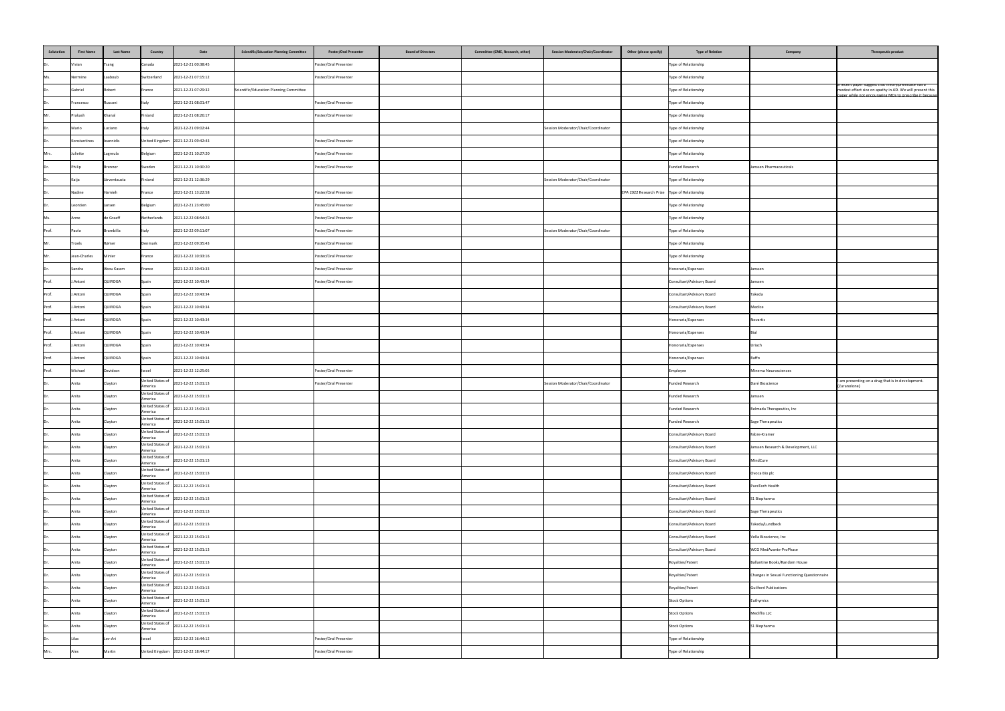| Salutation | <b>First Name</b> | <b>Last Name</b> | <b>Country</b>                    | <b>Scientific/Education Planning Committee</b><br>Date                                                                                 | <b>Poster/Oral Presenter</b><br><b>Board of Directors</b> | <b>Committee (CME, Research, other)</b><br><b>Session Moderator/Chair/Coordinator</b> | Other (please specify)                         | <b>Type of Relation</b>   | Company                                     | Therapeutic product                                                                                                                                                               |
|------------|-------------------|------------------|-----------------------------------|----------------------------------------------------------------------------------------------------------------------------------------|-----------------------------------------------------------|---------------------------------------------------------------------------------------|------------------------------------------------|---------------------------|---------------------------------------------|-----------------------------------------------------------------------------------------------------------------------------------------------------------------------------------|
| Dr         | Vivian            | <b>Tsang</b>     | Canada                            | 2021-12-21 00:38:45                                                                                                                    | Poster/Oral Presenter                                     |                                                                                       |                                                | Type of Relationship      |                                             |                                                                                                                                                                                   |
| Ms.        | Nermine           | Laaboub          | Switzerland                       | 2021-12-21 07:15:12                                                                                                                    | Poster/Oral Presenter                                     |                                                                                       |                                                | Type of Relationship      |                                             |                                                                                                                                                                                   |
| Dr.        | Gabriel           | Robert           | France                            | 2021-12-21 07:29:32<br>Scientific/Education Planning Committee                                                                         |                                                           |                                                                                       |                                                | Type of Relationship      |                                             | a recent paper suggest that methylphenidate has a<br>  modest effect size on apathy in AD. We will present this<br><u>aner while not encouraging MDs to prescribe it because.</u> |
| IDr.       | Francesco         | Rusconi          | Italy                             | 2021-12-21 08:01:47                                                                                                                    | Poster/Oral Presenter                                     |                                                                                       |                                                | Type of Relationship      |                                             |                                                                                                                                                                                   |
| Mr.        | Prakash           | Khanal           | Finland                           | 2021-12-21 08:26:17                                                                                                                    | Poster/Oral Presenter                                     |                                                                                       |                                                | Type of Relationship      |                                             |                                                                                                                                                                                   |
| Dr         | Mario             | Luciano          | <b>Italy</b>                      | 2021-12-21 09:02:44                                                                                                                    |                                                           | Session Moderator/Chair/Coordinator                                                   |                                                | Type of Relationship      |                                             |                                                                                                                                                                                   |
| IDr.       | Konstantinos      | Ioannidis        |                                   | United Kingdom 2021-12-21 09:42:43                                                                                                     | Poster/Oral Presenter                                     |                                                                                       |                                                | Type of Relationship      |                                             |                                                                                                                                                                                   |
| Mrs.       | Juliette          | Lagreula         | Belgium                           | 2021-12-21 10:27:20                                                                                                                    | Poster/Oral Presenter                                     |                                                                                       |                                                | Type of Relationship      |                                             |                                                                                                                                                                                   |
| Dr         | Philip            | <b>Brenner</b>   | Sweden                            | 2021-12-21 10:30:20                                                                                                                    | Poster/Oral Presenter                                     |                                                                                       |                                                | Funded Research           | Janssen Pharmaceuticals                     |                                                                                                                                                                                   |
|            | Kaija             | Järventausta     | Finland                           | 2021-12-21 12:36:29                                                                                                                    |                                                           | Session Moderator/Chair/Coordinator                                                   |                                                | Type of Relationship      |                                             |                                                                                                                                                                                   |
| Dr         | Nadine            | Hamieh           | France                            | 2021-12-21 13:22:58                                                                                                                    | Poster/Oral Presenter                                     |                                                                                       | EPA 2022 Research Prize   Type of Relationship |                           |                                             |                                                                                                                                                                                   |
| IDr.       | Leontien          | Jansen           | Belgium                           | 2021-12-21 23:45:00                                                                                                                    | Poster/Oral Presenter                                     |                                                                                       |                                                | Type of Relationship      |                                             |                                                                                                                                                                                   |
|            | Anne              | de Graaff        | Netherlands                       | 2021-12-22 08:54:23                                                                                                                    | Poster/Oral Presenter                                     |                                                                                       |                                                | Type of Relationship      |                                             |                                                                                                                                                                                   |
| Prof.      | Paolo             | Brambilla        | Italy                             | 2021-12-22 09:11:07                                                                                                                    | Poster/Oral Presenter                                     | Session Moderator/Chair/Coordinator                                                   |                                                | Type of Relationship      |                                             |                                                                                                                                                                                   |
| Mr.        | Troels            | Rømer            | Denmark                           | 2021-12-22 09:35:43                                                                                                                    | Poster/Oral Presenter                                     |                                                                                       |                                                | Type of Relationship      |                                             |                                                                                                                                                                                   |
| Mr.        | Jean-Charles      | Minier           | France                            | 2021-12-22 10:33:16                                                                                                                    | Poster/Oral Presenter                                     |                                                                                       |                                                | Type of Relationship      |                                             |                                                                                                                                                                                   |
| IDr.       | Sandra            | Abou Kassm       | France                            | 2021-12-22 10:41:33                                                                                                                    | Poster/Oral Presenter                                     |                                                                                       |                                                | Honoraria/Expenses        | Janssen                                     |                                                                                                                                                                                   |
| Prof.      | J.Antoni          | <b>QUIROGA</b>   | Spain                             | 2021-12-22 10:43:34                                                                                                                    | Poster/Oral Presenter                                     |                                                                                       |                                                | Consultant/Advisory Board | Janssen                                     |                                                                                                                                                                                   |
| Prof.      | J.Antoni          | <b>QUIROGA</b>   | Spain                             | 2021-12-22 10:43:34                                                                                                                    |                                                           |                                                                                       |                                                | Consultant/Advisory Board | Takeda                                      |                                                                                                                                                                                   |
| Prof.      | J.Antoni          | QUIROGA          | Spain                             | 2021-12-22 10:43:34                                                                                                                    |                                                           |                                                                                       |                                                | Consultant/Advisory Board | Medice                                      |                                                                                                                                                                                   |
| Prof.      | J.Antoni          | QUIROGA          | Spain                             | 2021-12-22 10:43:34                                                                                                                    |                                                           |                                                                                       |                                                | Honoraria/Expenses        | Novartis                                    |                                                                                                                                                                                   |
| Prof.      | J.Antoni          | QUIROGA          | Spain                             | 2021-12-22 10:43:34                                                                                                                    |                                                           |                                                                                       |                                                | Honoraria/Expenses        | l Bial                                      |                                                                                                                                                                                   |
| Prof.      | J.Antoni          | QUIROGA          | Spain                             | 2021-12-22 10:43:34                                                                                                                    |                                                           |                                                                                       |                                                | Honoraria/Expenses        | Uriach                                      |                                                                                                                                                                                   |
| Prof.      | J.Antoni          | QUIROGA          | Spain                             | 2021-12-22 10:43:34                                                                                                                    |                                                           |                                                                                       |                                                | Honoraria/Expenses        | Raffo                                       |                                                                                                                                                                                   |
| Prof.      | Michael           | Davidson         | Israel                            | 2021-12-22 12:25:05                                                                                                                    | Poster/Oral Presenter                                     |                                                                                       |                                                | Employee                  | Minerva Neurosciences                       |                                                                                                                                                                                   |
| Dr         | Anita             | Clayton          | United States of<br>America       | 2021-12-22 15:01:13                                                                                                                    | Poster/Oral Presenter                                     | Session Moderator/Chair/Coordinator                                                   |                                                | Funded Research           | Daré Bioscience                             | I am presenting on a drug that is in development.<br>(Zuranolone)                                                                                                                 |
| Dr         | Anita             | Clayton          | America                           | United States of 2021-12-22 15:01:13                                                                                                   |                                                           |                                                                                       |                                                | Funded Research           | Janssen                                     |                                                                                                                                                                                   |
| Dr.        | Anita             | Clayton          | United States of<br>America       | 2021-12-22 15:01:13                                                                                                                    |                                                           |                                                                                       |                                                | Funded Research           | Relmada Therapeutics, Inc                   |                                                                                                                                                                                   |
| Dr         | Anita             | Clayton          | United States of<br>America       | 2021-12-22 15:01:13                                                                                                                    |                                                           |                                                                                       |                                                | Funded Research           | Sage Therapeutics                           |                                                                                                                                                                                   |
| Dr         | Anita             | Clayton          | United States of<br>America       | 2021-12-22 15:01:13                                                                                                                    |                                                           |                                                                                       |                                                | Consultant/Advisory Board | Fabre-Kramer                                |                                                                                                                                                                                   |
| Dr.        | Anita             | Clayton          | United States of<br>America       | 2021-12-22 15:01:13                                                                                                                    |                                                           |                                                                                       |                                                | Consultant/Advisory Board | Janssen Research & Development, LLC         |                                                                                                                                                                                   |
| Dr.        | Anita             | Clayton          | America                           | United States of 2021-12-22 15:01:13                                                                                                   |                                                           |                                                                                       |                                                | Consultant/Advisory Board | MindCure                                    |                                                                                                                                                                                   |
| Dr         | Anita             | Clayton          | America                           | United States of $\Big  2021 - 12 - 22 \ 15:01:13 \ \Big $                                                                             |                                                           |                                                                                       |                                                | Consultant/Advisory Board | Ovoca Bio plc                               |                                                                                                                                                                                   |
| Dr         | Anita             | Clayton          | United States of<br>America       | 2021-12-22 15:01:13                                                                                                                    |                                                           |                                                                                       |                                                | Consultant/Advisory Board | PureTech Health                             |                                                                                                                                                                                   |
| IDr.       | Anita             | Clayton          | United States of<br>America       | 2021-12-22 15:01:13                                                                                                                    |                                                           |                                                                                       |                                                | Consultant/Advisory Board | S1 Biopharma                                |                                                                                                                                                                                   |
| IDr.       | Anita             | Clayton          | America                           | United States of 2021-12-22 15:01:13                                                                                                   |                                                           |                                                                                       |                                                | Consultant/Advisory Board | Sage Therapeutics                           |                                                                                                                                                                                   |
| Dr.        | Anita             | Clayton          | America                           | United States of 2021-12-22 15:01:13                                                                                                   |                                                           |                                                                                       |                                                | Consultant/Advisory Board | Takeda/Lundbeck                             |                                                                                                                                                                                   |
| Dr         | Anita             | Clayton          | United States of<br>America       | 2021-12-22 15:01:13                                                                                                                    |                                                           |                                                                                       |                                                | Consultant/Advisory Board | Vella Bioscience, Inc                       |                                                                                                                                                                                   |
| IDr.       | Anita             | Clayton          | United States of<br>America       | $\begin{array}{c} \begin{array}{c} \end{array} \end{array} \begin{array}{c} \text{2021-12-22} \end{array} \text{15:01:13} \end{array}$ |                                                           |                                                                                       |                                                | Consultant/Advisory Board | WCG MedAvante-ProPhase                      |                                                                                                                                                                                   |
| υr         | Anita             | Clayton          | America                           | United States of 2021-12-22 15:01:13                                                                                                   |                                                           |                                                                                       |                                                | Royalties/Patent          | Ballantine Books/Random House               |                                                                                                                                                                                   |
| IDr.       | Anita             | Clayton          | United States of<br>America       | 2021-12-22 15:01:13                                                                                                                    |                                                           |                                                                                       |                                                | Royalties/Patent          | Changes in Sexual Functioning Questionnaire |                                                                                                                                                                                   |
| IDr.       | Anita             | Clayton          | United States of<br>America       | 2021-12-22 15:01:13                                                                                                                    |                                                           |                                                                                       |                                                | Royalties/Patent          | <b>Guilford Publications</b>                |                                                                                                                                                                                   |
| Dr         | Anita             | Clayton          | United States of<br>America       | 2021-12-22 15:01:13                                                                                                                    |                                                           |                                                                                       |                                                | <b>Stock Options</b>      | Euthymics                                   |                                                                                                                                                                                   |
| Dr         | Anita             | Clayton          | <b>United States o</b><br>America | 2021-12-22 15:01:13                                                                                                                    |                                                           |                                                                                       |                                                | <b>Stock Options</b>      | Mediflix LLC                                |                                                                                                                                                                                   |
| Dr.        | Anita             | Clayton          | United States of<br>America       | 2021-12-22 15:01:13                                                                                                                    |                                                           |                                                                                       |                                                | <b>Stock Options</b>      | S1 Biopharma                                |                                                                                                                                                                                   |
| Dr.        | Lilac             | Lev-Ari          | Israel                            | 2021-12-22 16:44:12                                                                                                                    | Poster/Oral Presenter                                     |                                                                                       |                                                | Type of Relationship      |                                             |                                                                                                                                                                                   |
| Mrs.       | Alex              | Martin           |                                   | United Kingdom 2021-12-22 18:44:17                                                                                                     | Poster/Oral Presenter                                     |                                                                                       |                                                | Type of Relationship      |                                             |                                                                                                                                                                                   |
|            |                   |                  |                                   |                                                                                                                                        |                                                           |                                                                                       |                                                |                           |                                             |                                                                                                                                                                                   |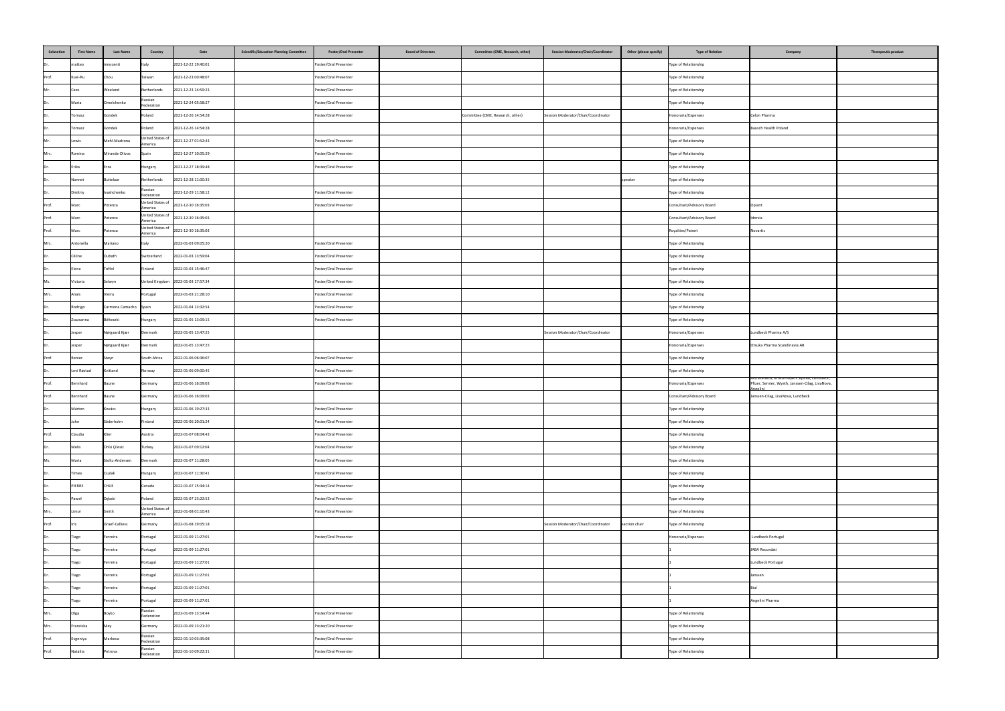| Salutation | <b>First Name</b> | <b>Last Name</b>      | Country                     | Date                               | <b>Scientific/Education Planning Committee</b> | <b>Poster/Oral Presenter</b> | <b>Board of Directors</b> | Committee (CME, Research, other) | <b>Session Moderator/Chair/Coordinator</b> | Other (please specify) | <b>Type of Relation</b>   | Company                                                                                          | Therapeutic product |
|------------|-------------------|-----------------------|-----------------------------|------------------------------------|------------------------------------------------|------------------------------|---------------------------|----------------------------------|--------------------------------------------|------------------------|---------------------------|--------------------------------------------------------------------------------------------------|---------------------|
| Dr.        | matteo            | innocenti             | Italy                       | 2021-12-22 19:40:01                |                                                | Poster/Oral Presenter        |                           |                                  |                                            |                        | Type of Relationship      |                                                                                                  |                     |
| Prof.      | Kuei-Ru           | Chou                  | Taiwan                      | 2021-12-23 00:48:07                |                                                | Poster/Oral Presenter        |                           |                                  |                                            |                        | Type of Relationship      |                                                                                                  |                     |
| Mr.        | Cees              | Weeland               | Netherlands                 | 2021-12-23 14:59:23                |                                                | Poster/Oral Presenter        |                           |                                  |                                            |                        | Type of Relationship      |                                                                                                  |                     |
| IDr.       | Maria             | Omelchenko            | Russian<br>Federation       | 2021-12-24 05:58:27                |                                                | Poster/Oral Presenter        |                           |                                  |                                            |                        | Type of Relationship      |                                                                                                  |                     |
| IDr.       | Tomasz            | Gondek                | Poland                      | 2021-12-26 14:54:28                |                                                | Poster/Oral Presenter        |                           | Committee (CME, Research, other) | Session Moderator/Chair/Coordinator        |                        | Honoraria/Expenses        | Celon Pharma                                                                                     |                     |
| IDr.       | Tomasz            | Gondek                | Poland                      | 2021-12-26 14:54:28                |                                                |                              |                           |                                  |                                            |                        | Honoraria/Expenses        | Bausch Health Poland                                                                             |                     |
| Mr.        | Lewis             | Mehl-Madrona          | United States of<br>America | 2021-12-27 01:52:43                |                                                | Poster/Oral Presenter        |                           |                                  |                                            |                        | Type of Relationship      |                                                                                                  |                     |
| Mrs.       | Romina            | Miranda-Olivos        | Spain                       | 2021-12-27 10:05:29                |                                                | Poster/Oral Presenter        |                           |                                  |                                            |                        | Type of Relationship      |                                                                                                  |                     |
| Dr.        | Erika             | Eros                  | Hungary                     | 2021-12-27 18:39:48                |                                                | Poster/Oral Presenter        |                           |                                  |                                            |                        | Type of Relationship      |                                                                                                  |                     |
| Dr.        | Nannet            | <b>Buitelaar</b>      | Netherlands                 | 2021-12-28 11:00:35                |                                                |                              |                           |                                  |                                            | speaker                | Type of Relationship      |                                                                                                  |                     |
| Dr.        | Dmitriy           | Ivashchenko           | Russian<br>Federation       | 2021-12-29 11:58:12                |                                                | Poster/Oral Presenter        |                           |                                  |                                            |                        | Type of Relationship      |                                                                                                  |                     |
| Prof.      | Marc              | Potenza               | United States of<br>America | 2021-12-30 16:35:03                |                                                | Poster/Oral Presenter        |                           |                                  |                                            |                        | Consultant/Advisory Board | Opiant                                                                                           |                     |
| Prof.      | Marc              | Potenza               | United States of<br>America | 2021-12-30 16:35:03                |                                                |                              |                           |                                  |                                            |                        | Consultant/Advisory Board | Idorsia                                                                                          |                     |
| Prof.      | Marc              | Potenza               | United States of<br>America | 2021-12-30 16:35:03                |                                                |                              |                           |                                  |                                            |                        | Royalties/Patent          | Novartis                                                                                         |                     |
| Mrs.       | Antonella         | Mariano               | Italy                       | 2022-01-03 09:05:20                |                                                | Poster/Oral Presenter        |                           |                                  |                                            |                        | Type of Relationship      |                                                                                                  |                     |
| IDr.       | Céline            | Dubath                | Switzerland                 | 2022-01-03 13:59:04                |                                                | Poster/Oral Presenter        |                           |                                  |                                            |                        | Type of Relationship      |                                                                                                  |                     |
| Dr.        | Elena             | Toffol                | Finland                     | 2022-01-03 15:46:47                |                                                | Poster/Oral Presenter        |                           |                                  |                                            |                        | Type of Relationship      |                                                                                                  |                     |
| Ms.        | Victoria          | Selwyn                |                             | United Kingdom 2022-01-03 17:57:34 |                                                | Poster/Oral Presenter        |                           |                                  |                                            |                        | Type of Relationship      |                                                                                                  |                     |
| Mrs.       | Anaïs             | Vieira                | Portugal                    | 2022-01-03 21:28:10                |                                                | Poster/Oral Presenter        |                           |                                  |                                            |                        | Type of Relationship      |                                                                                                  |                     |
| IDr.       | Rodrigo           | Carmona Camacho Spain |                             | 2022-01-04 13:32:54                |                                                | Poster/Oral Presenter        |                           |                                  |                                            |                        | Type of Relationship      |                                                                                                  |                     |
| Dr.        | Zsuzsanna         | Bélteczki             | Hungary                     | 2022-01-05 13:09:15                |                                                | Poster/Oral Presenter        |                           |                                  |                                            |                        | Type of Relationship      |                                                                                                  |                     |
| Dr.        | Jesper            | Nørgaard Kjær         | Denmark                     | 2022-01-05 13:47:25                |                                                |                              |                           |                                  | Session Moderator/Chair/Coordinator        |                        | Honoraria/Expenses        | Lundbeck Pharma A/S                                                                              |                     |
| Dr.        | Jesper            | Nørgaard Kjær         | Denmark                     | 2022-01-05 13:47:25                |                                                |                              |                           |                                  |                                            |                        | Honoraria/Expenses        | Otsuka Pharma Scandinavia AB                                                                     |                     |
| Prof.      | Renier            | Steyn                 | South Africa                | 2022-01-06 06:36:07                |                                                | Poster/Oral Presenter        |                           |                                  |                                            |                        | Type of Relationship      |                                                                                                  |                     |
| Dr.        | Levi Røstad       | Kvitland              | Norway                      | 2022-01-06 09:00:45                |                                                | Poster/Oral Presenter        |                           |                                  |                                            |                        | Type of Relationship      |                                                                                                  |                     |
| Prof.      | Bernhard          | Baune                 | Germany                     | 2022-01-06 16:09:03                |                                                | Poster/Oral Presenter        |                           |                                  |                                            |                        | Honoraria/Expenses        | AstraZeneca, Bristol-Myers Squibb, Lundbeck,<br>Pfizer, Servier, Wyeth, Janssen-Cilag, LivaNova, |                     |
| Prof.      | Bernhard          | Baune                 | Germany                     | 2022-01-06 16:09:03                |                                                |                              |                           |                                  |                                            |                        | Consultant/Advisory Board | Janssen-Cilag, LivaNova, Lundbeck                                                                |                     |
| Dr.        | Márton            | Kovács                | Hungary                     | 2022-01-06 19:27:33                |                                                | Poster/Oral Presenter        |                           |                                  |                                            |                        | Type of Relationship      |                                                                                                  |                     |
| IDr.       | John              | Söderholm             | Finland                     | 2022-01-06 20:01:24                |                                                | Poster/Oral Presenter        |                           |                                  |                                            |                        | Type of Relationship      |                                                                                                  |                     |
| Prof.      | Claudia           | Klier                 | Austria                     | 2022-01-07 08:04:43                |                                                | Poster/Oral Presenter        |                           |                                  |                                            |                        | Type of Relationship      |                                                                                                  |                     |
| Dr.        | Melis             | Ünlü Çilesiz          | Turkey                      | 2022-01-07 09:12:04                |                                                | Poster/Oral Presenter        |                           |                                  |                                            |                        | Type of Relationship      |                                                                                                  |                     |
| Ms.        | Maria             | Stoltz-Andersen       | Denmark                     | 2022-01-07 11:28:05                |                                                | Poster/Oral Presenter        |                           |                                  |                                            |                        | Type of Relationship      |                                                                                                  |                     |
| IDr.       | Timea             | Csulak                | Hungary                     | 2022-01-07 11:30:41                |                                                | Poster/Oral Presenter        |                           |                                  |                                            |                        | Type of Relationship      |                                                                                                  |                     |
| Dr.        | PIERRE            | <b>CHUE</b>           | Canada                      | 2022-01-07 15:34:14                |                                                | Poster/Oral Presenter        |                           |                                  |                                            |                        | Type of Relationship      |                                                                                                  |                     |
| Dr.        | Paweł             | Dębski                | Poland                      | 2022-01-07 23:22:53                |                                                | Poster/Oral Presenter        |                           |                                  |                                            |                        | Type of Relationship      |                                                                                                  |                     |
| Mrs.       | Limor             | Smith                 | United States of<br>America | 2022-01-08 01:10:43                |                                                | Poster/Oral Presenter        |                           |                                  |                                            |                        | Type of Relationship      |                                                                                                  |                     |
| Prof.      |                   | Graef-Calliess        | Germany                     | 2022-01-08 19:05:18                |                                                |                              |                           |                                  | Session Moderator/Chair/Coordinator        | section chair          | Type of Relationship      |                                                                                                  |                     |
| Dr.        | Tiago             | Ferreira              | Portugal                    | 2022-01-09 11:27:01                |                                                | Poster/Oral Presenter        |                           |                                  |                                            |                        | Honoraria/Expenses        | Lundbeck Portugal                                                                                |                     |
| IDr.       | Tiago             | Ferreira              | Portugal                    | 2022-01-09 11:27:01                |                                                |                              |                           |                                  |                                            |                        |                           | JABA Recordati                                                                                   |                     |
| Dr.        | Tiago             | Ferreira              | Portugal                    | 2022-01-09 11:27:01                |                                                |                              |                           |                                  |                                            |                        |                           | Lundbeck Portugal                                                                                |                     |
| Dr.        | Tiago             | Ferreira              | Portugal                    | 2022-01-09 11:27:01                |                                                |                              |                           |                                  |                                            |                        |                           | Janssen                                                                                          |                     |
| IDr.       | Tiago             | Ferreira              | Portugal                    | 2022-01-09 11:27:01                |                                                |                              |                           |                                  |                                            |                        |                           |                                                                                                  |                     |
| Dr.        | Tiago             | Ferreira              | Portugal                    | 2022-01-09 11:27:01                |                                                |                              |                           |                                  |                                            |                        |                           | Angelini Pharma                                                                                  |                     |
| Mrs.       | Olga              | Boyko                 | Russian<br>Federation       | 2022-01-09 13:14:44                |                                                | Poster/Oral Presenter        |                           |                                  |                                            |                        | Type of Relationship      |                                                                                                  |                     |
| Mrs.       | Franziska         | Mey                   | Germany                     | 2022-01-09 13:21:20                |                                                | Poster/Oral Presenter        |                           |                                  |                                            |                        | Type of Relationship      |                                                                                                  |                     |
| Prof.      | Evgeniya          | Markova               | Russian<br>Federation       | 2022-01-10 03:35:08                |                                                | Poster/Oral Presenter        |                           |                                  |                                            |                        | Type of Relationship      |                                                                                                  |                     |
| Prof.      | Nataliia          | Petrova               | Russian<br>Federation       | 2022-01-10 09:22:31                |                                                | Poster/Oral Presenter        |                           |                                  |                                            |                        | Type of Relationship      |                                                                                                  |                     |
|            |                   |                       |                             |                                    |                                                |                              |                           |                                  |                                            |                        |                           |                                                                                                  |                     |

| pe of Relation | Company                                                                                                             | <b>Therapeutic product</b> |
|----------------|---------------------------------------------------------------------------------------------------------------------|----------------------------|
| hip            |                                                                                                                     |                            |
| hip            |                                                                                                                     |                            |
| hip            |                                                                                                                     |                            |
| hip            |                                                                                                                     |                            |
| ses            | Celon Pharma                                                                                                        |                            |
| ses            | Bausch Health Poland                                                                                                |                            |
| hip            |                                                                                                                     |                            |
| hip            |                                                                                                                     |                            |
| hip            |                                                                                                                     |                            |
| hip            |                                                                                                                     |                            |
| hip            |                                                                                                                     |                            |
| ory Board      | Opiant                                                                                                              |                            |
| ory Board      | Idorsia                                                                                                             |                            |
|                | Novartis                                                                                                            |                            |
| hip            |                                                                                                                     |                            |
| hip            |                                                                                                                     |                            |
| hip            |                                                                                                                     |                            |
| hip            |                                                                                                                     |                            |
| hip            |                                                                                                                     |                            |
| hip            |                                                                                                                     |                            |
| hip            |                                                                                                                     |                            |
| ses            | Lundbeck Pharma A/S                                                                                                 |                            |
| ses            | Otsuka Pharma Scandinavia AB                                                                                        |                            |
| hip            |                                                                                                                     |                            |
| hip            |                                                                                                                     |                            |
| ses            | AstraZeneca, Bristoi-Myers Squibb, Lundbeck,<br>Pfizer, Servier, Wyeth, Janssen-Cilag, LivaNova,<br><b>Angelini</b> |                            |
| ory Board      | Janssen-Cilag, LivaNova, Lundbeck                                                                                   |                            |
| hip            |                                                                                                                     |                            |
| hip            |                                                                                                                     |                            |
| hip            |                                                                                                                     |                            |
| hip            |                                                                                                                     |                            |
| hip            |                                                                                                                     |                            |
| hip            |                                                                                                                     |                            |
| hip            |                                                                                                                     |                            |
| hip            |                                                                                                                     |                            |
| hip            |                                                                                                                     |                            |
| hip            |                                                                                                                     |                            |
| ses            | Lundbeck Portugal                                                                                                   |                            |
|                | JABA Recordati                                                                                                      |                            |
|                | Lundbeck Portugal                                                                                                   |                            |
|                | Janssen                                                                                                             |                            |
|                | Bial                                                                                                                |                            |
|                | Angelini Pharma                                                                                                     |                            |
| hip            |                                                                                                                     |                            |
| hip            |                                                                                                                     |                            |
| hip            |                                                                                                                     |                            |
| hip            |                                                                                                                     |                            |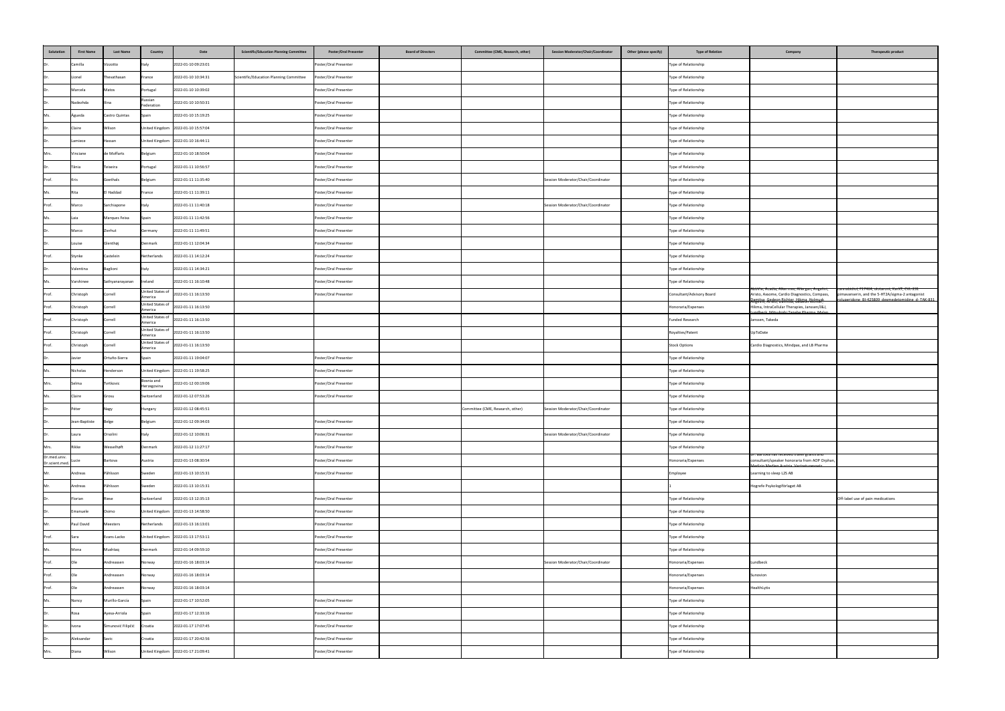| Salutation            | <b>First Name</b> | <b>Last Name</b>   | Country                     | Date                                 | <b>Scientific/Education Planning Committee</b> | <b>Poster/Oral Presenter</b> | <b>Board of Directors</b> | Committee (CME, Research, other) | <b>Session Moderator/Chair/Coordinator</b> | Other (please specify) | <b>Type of Relation</b>   | Company                                                                                                                                 | Therapeutic product                                                          |
|-----------------------|-------------------|--------------------|-----------------------------|--------------------------------------|------------------------------------------------|------------------------------|---------------------------|----------------------------------|--------------------------------------------|------------------------|---------------------------|-----------------------------------------------------------------------------------------------------------------------------------------|------------------------------------------------------------------------------|
| Dr.                   | Camilla           | Vizzotto           | Italy                       | 2022-01-10 09:23:01                  |                                                | Poster/Oral Presenter        |                           |                                  |                                            |                        | Type of Relationship      |                                                                                                                                         |                                                                              |
| Dr.                   | Lionel            | Thevathasan        | France                      | 2022-01-10 10:34:31                  | Scientific/Education Planning Committee        | Poster/Oral Presenter        |                           |                                  |                                            |                        | Type of Relationship      |                                                                                                                                         |                                                                              |
| Dr.                   | Marcela           | Matos              | Portugal                    | 2022-01-10 10:39:02                  |                                                | Poster/Oral Presenter        |                           |                                  |                                            |                        | Type of Relationship      |                                                                                                                                         |                                                                              |
| IDr.                  | Nadezhda          | Ilina              | Russian<br>Federation       | 2022-01-10 10:50:31                  |                                                | Poster/Oral Presenter        |                           |                                  |                                            |                        | Type of Relationship      |                                                                                                                                         |                                                                              |
| Ms.                   | Águeda            | Castro Quintas     | Spain                       | 2022-01-10 15:19:25                  |                                                | Poster/Oral Presenter        |                           |                                  |                                            |                        | Type of Relationship      |                                                                                                                                         |                                                                              |
| Dr.                   | Claire            | Wilson             |                             | United Kingdom 2022-01-10 15:57:04   |                                                | Poster/Oral Presenter        |                           |                                  |                                            |                        | Type of Relationship      |                                                                                                                                         |                                                                              |
| Dr.                   | Lamiece           | Hassan             |                             | United Kingdom 2022-01-10 16:44:11   |                                                | Poster/Oral Presenter        |                           |                                  |                                            |                        | Type of Relationship      |                                                                                                                                         |                                                                              |
| Mrs.                  | Vinciane          | de Moffarts        | Belgium                     | 2022-01-10 18:50:04                  |                                                | Poster/Oral Presenter        |                           |                                  |                                            |                        | Type of Relationship      |                                                                                                                                         |                                                                              |
| Dr.                   | Tânia             | Teixeira           | Portugal                    | 2022-01-11 10:56:57                  |                                                | Poster/Oral Presenter        |                           |                                  |                                            |                        | Type of Relationship      |                                                                                                                                         |                                                                              |
| Prof.                 | <b>IKris</b>      | Goethals           | Belgium                     | 2022-01-11 11:35:40                  |                                                | Poster/Oral Presenter        |                           |                                  | Session Moderator/Chair/Coordinator        |                        | Type of Relationship      |                                                                                                                                         |                                                                              |
| Ms.                   | Rita              | El Haddad          | France                      | 2022-01-11 11:39:11                  |                                                | Poster/Oral Presenter        |                           |                                  |                                            |                        | Type of Relationship      |                                                                                                                                         |                                                                              |
| Prof.                 | Marco             | Sarchiapone        | Italy                       | 2022-01-11 11:40:18                  |                                                | Poster/Oral Presenter        |                           |                                  | Session Moderator/Chair/Coordinator        |                        | Type of Relationship      |                                                                                                                                         |                                                                              |
|                       | Laia              | Marques Feixa      | Spain                       | 2022-01-11 11:42:56                  |                                                | Poster/Oral Presenter        |                           |                                  |                                            |                        | Type of Relationship      |                                                                                                                                         |                                                                              |
| IDr.                  | Marco             | Zierhut            | Germany                     | 2022-01-11 11:49:51                  |                                                | Poster/Oral Presenter        |                           |                                  |                                            |                        | Type of Relationship      |                                                                                                                                         |                                                                              |
| IDr.                  | Louise            | Glenthøj           | Denmark                     | 2022-01-11 12:04:34                  |                                                | Poster/Oral Presenter        |                           |                                  |                                            |                        | Type of Relationship      |                                                                                                                                         |                                                                              |
| Prof.                 | Stynke            | Castelein          | Netherlands                 | 2022-01-11 14:12:24                  |                                                | Poster/Oral Presenter        |                           |                                  |                                            |                        | Type of Relationship      |                                                                                                                                         |                                                                              |
| Dr.                   | Valentina         | Baglioni           | Italy                       | 2022-01-11 14:34:21                  |                                                | Poster/Oral Presenter        |                           |                                  |                                            |                        | Type of Relationship      |                                                                                                                                         |                                                                              |
| Ms.                   | Varshinee         | Sathyanarayanan    | Ireland                     | 2022-01-11 16:10:48                  |                                                | Poster/Oral Presenter        |                           |                                  |                                            |                        | Type of Relationship      |                                                                                                                                         |                                                                              |
| Prof.                 | Christoph         | Correll            | United States of<br>America | 2022-01-11 16:13:50                  |                                                | Poster/Oral Presenter        |                           |                                  |                                            |                        | Consultant/Advisory Board | AbbVie, Acadia, Alkermes, Allergan, Angelini,<br>Aristo, Axsome, Cardio Diagnostics, Compass,                                           | cannabidiol, F17464, ulotaront, KarXT<br>pimavanserin, and the 5-HT2A/sigma- |
| Prof.                 | Christoph         | Correll            | United States of<br>America | 2022-01-11 16:13:50                  |                                                |                              |                           |                                  |                                            |                        | Honoraria/Expenses        | Inamitsa, Gedeon Bichter, Hikma, Holmusk<br> Angelini, Aristo, Damitsa, Gedeon Richter,<br>Hikma, IntraCellular Therapies, Janssen/J&J, | Juneridone RI-425809 devmedetor                                              |
| Prof.                 | Christoph         | Correll            | United States of<br>America | 2022-01-11 16:13:50                  |                                                |                              |                           |                                  |                                            |                        | Funded Research           | undheck Mitsuhishi Tanahe Pharma Mylan<br>Janssen, Takeda                                                                               |                                                                              |
| Prof.                 | Christoph         | Correll            | United States of<br>America | 2022-01-11 16:13:50                  |                                                |                              |                           |                                  |                                            |                        | Royalties/Patent          | UpToDate                                                                                                                                |                                                                              |
| Prof.                 | Christoph         | Correll            | United States of<br>America | 2022-01-11 16:13:50                  |                                                |                              |                           |                                  |                                            |                        | <b>Stock Options</b>      | Cardio Diagnostics, Mindpax, and LB Pharma                                                                                              |                                                                              |
| Dr.                   | Javier            | Ortuño-Sierra      | Spain                       | 2022-01-11 19:04:07                  |                                                | Poster/Oral Presenter        |                           |                                  |                                            |                        | Type of Relationship      |                                                                                                                                         |                                                                              |
| Ms.                   | Nicholas          | Henderson          |                             | United Kingdom   2022-01-11 19:58:25 |                                                | Poster/Oral Presenter        |                           |                                  |                                            |                        | Type of Relationship      |                                                                                                                                         |                                                                              |
| Mrs.                  | Selma             | Tvrtkovic          | Bosnia and<br>Herzegovina   | 2022-01-12 00:19:06                  |                                                | Poster/Oral Presenter        |                           |                                  |                                            |                        | Type of Relationship      |                                                                                                                                         |                                                                              |
| Ms.                   | Claire            | Grosu              | Switzerland                 | 2022-01-12 07:53:26                  |                                                | Poster/Oral Presenter        |                           |                                  |                                            |                        | Type of Relationship      |                                                                                                                                         |                                                                              |
| Dr.                   | Péter             | Nagy               | Hungary                     | 2022-01-12 08:45:51                  |                                                |                              |                           | Committee (CME, Research, other) | Session Moderator/Chair/Coordinator        |                        | Type of Relationship      |                                                                                                                                         |                                                                              |
| Dr.                   | Jean-Baptiste     | Belge              | Belgium                     | 2022-01-12 09:34:03                  |                                                | Poster/Oral Presenter        |                           |                                  |                                            |                        | Type of Relationship      |                                                                                                                                         |                                                                              |
| IDr.                  | Laura             | Orsolini           | Italy                       | 2022-01-12 10:06:31                  |                                                | Poster/Oral Presenter        |                           |                                  | Session Moderator/Chair/Coordinator        |                        | Type of Relationship      |                                                                                                                                         |                                                                              |
| Mrs.                  | Rikke             | Wesselhøft         | Denmark                     | 2022-01-12 11:27:17                  |                                                | Poster/Oral Presenter        |                           |                                  |                                            |                        | Type of Relationship      |                                                                                                                                         |                                                                              |
| Dr.med.univ.          |                   | Bartova            | Austria                     | 2022-01-13 08:30:54                  |                                                | Poster/Oral Presenter        |                           |                                  |                                            |                        | Honoraria/Expenses        | Dr. Bartova has received travel grants and<br>consultant/speaker honoraria from AOP Orphan,                                             |                                                                              |
| Dr.scient.med.<br>Mr. | Andreas           | Påhlsson           | Sweden                      | 2022-01-13 10:15:31                  |                                                | Poster/Oral Presenter        |                           |                                  |                                            |                        | Employee                  | <b>Medizin Medien Austria Vertretungsnetz</b><br>Learning to sleep L2S AB                                                               |                                                                              |
| Mr.                   | Andreas           | Påhlsson           | Sweden                      | 2022-01-13 10:15:31                  |                                                |                              |                           |                                  |                                            |                        |                           | Hogrefe Psykologiförlaget AB                                                                                                            |                                                                              |
| Dr.                   | Florian           | Riese              | Switzerland                 | 2022-01-13 12:35:13                  |                                                | Poster/Oral Presenter        |                           |                                  |                                            |                        | Type of Relationship      |                                                                                                                                         | Off-label use of pain medications                                            |
| Dr.                   | Emanuele          | Osimo              |                             | United Kingdom 2022-01-13 14:58:50   |                                                | Poster/Oral Presenter        |                           |                                  |                                            |                        | Type of Relationship      |                                                                                                                                         |                                                                              |
| Mr.                   | Paul David        | <b>Meesters</b>    | Netherlands                 | 2022-01-13 16:13:01                  |                                                | Poster/Oral Presenter        |                           |                                  |                                            |                        | Type of Relationship      |                                                                                                                                         |                                                                              |
| Prof.                 | Sara              | Evans-Lacko        |                             | United Kingdom 2022-01-13 17:53:11   |                                                | Poster/Oral Presenter        |                           |                                  |                                            |                        | Type of Relationship      |                                                                                                                                         |                                                                              |
| Ms.                   | Mona              | Mushtaq            | Denmark                     | 2022-01-14 09:59:10                  |                                                | Poster/Oral Presenter        |                           |                                  |                                            |                        | Type of Relationship      |                                                                                                                                         |                                                                              |
| Prof.                 | <b>Ole</b>        | Andreassen         | Norway                      | 2022-01-16 18:03:14                  |                                                | Poster/Oral Presenter        |                           |                                  | Session Moderator/Chair/Coordinator        |                        | Honoraria/Expenses        | Lundbeck                                                                                                                                |                                                                              |
| Prof.                 | <b>Ole</b>        | Andreassen         | Norway                      | 2022-01-16 18:03:14                  |                                                |                              |                           |                                  |                                            |                        | Honoraria/Expenses        | Sunovion                                                                                                                                |                                                                              |
| Prof.                 | <b>Ole</b>        | Andreassen         | Norway                      | 2022-01-16 18:03:14                  |                                                |                              |                           |                                  |                                            |                        | Honoraria/Expenses        | HealthLytix                                                                                                                             |                                                                              |
| Ms.                   | Nancy             | Murillo-García     | Spain                       | 2022-01-17 10:52:05                  |                                                | Poster/Oral Presenter        |                           |                                  |                                            |                        | Type of Relationship      |                                                                                                                                         |                                                                              |
| Dr.                   | Rosa              | Ayesa-Arriola      | Spain                       | 2022-01-17 12:33:16                  |                                                | Poster/Oral Presenter        |                           |                                  |                                            |                        | Type of Relationship      |                                                                                                                                         |                                                                              |
| Dr.                   | Ivona             | Šimunović Filipčić | Croatia                     | 2022-01-17 17:07:45                  |                                                | Poster/Oral Presenter        |                           |                                  |                                            |                        | Type of Relationship      |                                                                                                                                         |                                                                              |
| Dr.                   | Aleksandar        | Savic              | Croatia                     | 2022-01-17 20:42:56                  |                                                | Poster/Oral Presenter        |                           |                                  |                                            |                        | Type of Relationship      |                                                                                                                                         |                                                                              |
|                       |                   |                    |                             |                                      |                                                |                              |                           |                                  |                                            |                        |                           |                                                                                                                                         |                                                                              |
| Mrs.                  | Diana             | Wilson             |                             | United Kingdom 2022-01-17 21:09:41   |                                                | Poster/Oral Presenter        |                           |                                  |                                            |                        | Type of Relationship      |                                                                                                                                         |                                                                              |

| pe of Relation | Company                                                                                                                                                                                       | <b>Therapeutic product</b>                                                                                                                            |
|----------------|-----------------------------------------------------------------------------------------------------------------------------------------------------------------------------------------------|-------------------------------------------------------------------------------------------------------------------------------------------------------|
| hip            |                                                                                                                                                                                               |                                                                                                                                                       |
| hip            |                                                                                                                                                                                               |                                                                                                                                                       |
| hip            |                                                                                                                                                                                               |                                                                                                                                                       |
| hip            |                                                                                                                                                                                               |                                                                                                                                                       |
| hip            |                                                                                                                                                                                               |                                                                                                                                                       |
| hip            |                                                                                                                                                                                               |                                                                                                                                                       |
| hip            |                                                                                                                                                                                               |                                                                                                                                                       |
| hip            |                                                                                                                                                                                               |                                                                                                                                                       |
| hip            |                                                                                                                                                                                               |                                                                                                                                                       |
| hip            |                                                                                                                                                                                               |                                                                                                                                                       |
| hip            |                                                                                                                                                                                               |                                                                                                                                                       |
| hip            |                                                                                                                                                                                               |                                                                                                                                                       |
| hip            |                                                                                                                                                                                               |                                                                                                                                                       |
| hip            |                                                                                                                                                                                               |                                                                                                                                                       |
| hip            |                                                                                                                                                                                               |                                                                                                                                                       |
| hip            |                                                                                                                                                                                               |                                                                                                                                                       |
| hip            |                                                                                                                                                                                               |                                                                                                                                                       |
| hip            |                                                                                                                                                                                               |                                                                                                                                                       |
| ory Board      | AbbVie, Acadia, Alkermes, Allergan, Angelini,<br>Aristo, Axsome, Cardio Diagnostics, Compass,<br> <br> Damitsa, Gedeon Bichter, Hikma, Holmusk<br> Angelini, Aristo, Damitsa, Gedeon Richter, | cannabidiol, F17464, ulotaront, KarXI, CVL-231<br>pimavanserin, and the 5-HT2A/sigma-2 antagonist<br>roluneridone RI-175809 devmedetomidine d-TAK-831 |
| ses            | Hikma, IntraCellular Therapies, Janssen/J&J,<br>Lundheck Mitsuhishi Tanahe Pharma Mulan                                                                                                       |                                                                                                                                                       |
|                | Janssen, Takeda                                                                                                                                                                               |                                                                                                                                                       |
|                | UpToDate                                                                                                                                                                                      |                                                                                                                                                       |
|                | Cardio Diagnostics, Mindpax, and LB Pharma                                                                                                                                                    |                                                                                                                                                       |
| hip            |                                                                                                                                                                                               |                                                                                                                                                       |
| hip            |                                                                                                                                                                                               |                                                                                                                                                       |
| hip            |                                                                                                                                                                                               |                                                                                                                                                       |
| hip            |                                                                                                                                                                                               |                                                                                                                                                       |
| hip            |                                                                                                                                                                                               |                                                                                                                                                       |
| hip            |                                                                                                                                                                                               |                                                                                                                                                       |
| hip            |                                                                                                                                                                                               |                                                                                                                                                       |
| hip            |                                                                                                                                                                                               |                                                                                                                                                       |
| ses            | Dr. Bartova has received travel grants and<br>consultant/speaker honoraria from AOP Orphan,<br>Medizin Medien Austria Vertretungsnetz                                                         |                                                                                                                                                       |
|                | Learning to sleep L2S AB                                                                                                                                                                      |                                                                                                                                                       |
|                | Hogrefe Psykologiförlaget AB                                                                                                                                                                  |                                                                                                                                                       |
| hip            |                                                                                                                                                                                               | Off-label use of pain medications                                                                                                                     |
| hip            |                                                                                                                                                                                               |                                                                                                                                                       |
| hip            |                                                                                                                                                                                               |                                                                                                                                                       |
| hip            |                                                                                                                                                                                               |                                                                                                                                                       |
| hip            |                                                                                                                                                                                               |                                                                                                                                                       |
| ses            | Lundbeck                                                                                                                                                                                      |                                                                                                                                                       |
| ses            | Sunovion                                                                                                                                                                                      |                                                                                                                                                       |
| ses            | HealthLytix                                                                                                                                                                                   |                                                                                                                                                       |
| hip            |                                                                                                                                                                                               |                                                                                                                                                       |
| hip            |                                                                                                                                                                                               |                                                                                                                                                       |
| hip            |                                                                                                                                                                                               |                                                                                                                                                       |
| hip            |                                                                                                                                                                                               |                                                                                                                                                       |
| hip            |                                                                                                                                                                                               |                                                                                                                                                       |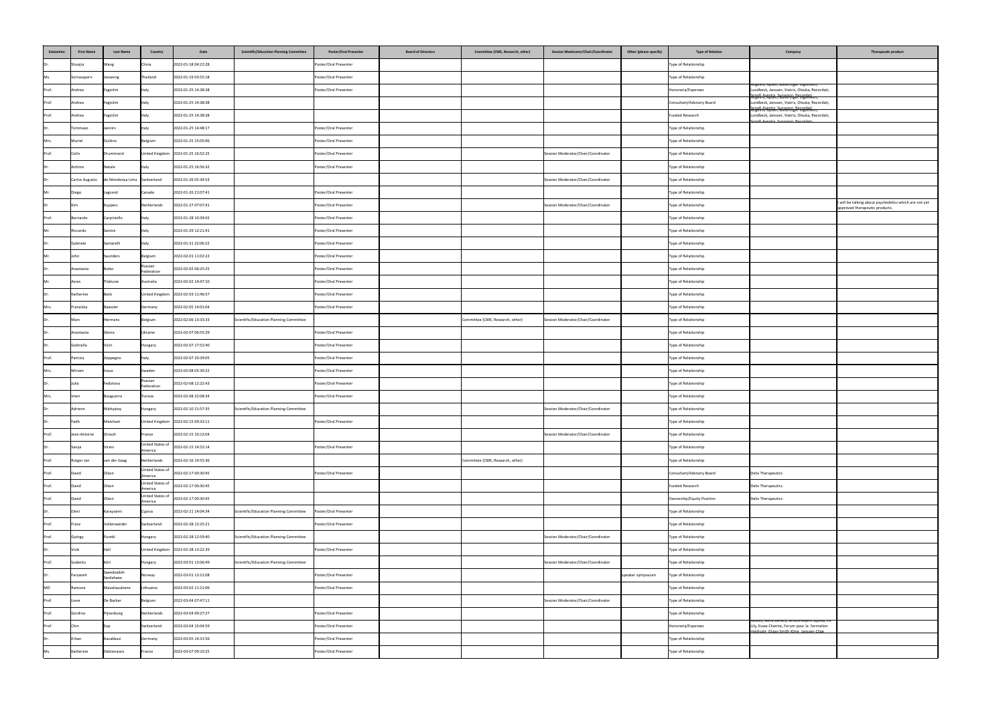| Salutation | <b>First Name</b>     | <b>Last Name</b>             | Country                     | Date                                 | <b>Scientific/Education Planning Committee</b> | <b>Poster/Oral Presenter</b> | <b>Board of Directors</b> | <b>Committee (CME, Research, other)</b> | <b>Session Moderator/Chair/Coordinator</b> | <b>Other (please specify)</b> | <b>Type of Relation</b>   | Company                                                                                                                                                                   | Therapeutic product                                                                      |
|------------|-----------------------|------------------------------|-----------------------------|--------------------------------------|------------------------------------------------|------------------------------|---------------------------|-----------------------------------------|--------------------------------------------|-------------------------------|---------------------------|---------------------------------------------------------------------------------------------------------------------------------------------------------------------------|------------------------------------------------------------------------------------------|
| Dr.        | Shuojia               | Wang                         | China                       | 2022-01-18 04:22:28                  |                                                | Poster/Oral Presenter        |                           |                                         |                                            |                               | Type of Relationship      |                                                                                                                                                                           |                                                                                          |
| Ms.        | Sorrasaporn           | Joowong                      | Thailand                    | 2022-01-19 03:55:18                  |                                                | Poster/Oral Presenter        |                           |                                         |                                            |                               | Type of Relationship      |                                                                                                                                                                           |                                                                                          |
| Prof.      | Andrea                | Fagiolini                    | Italy                       | 2022-01-25 14:38:38                  |                                                | Poster/Oral Presenter        |                           |                                         |                                            |                               | Honoraria/Expenses        | Angelini, Apsen, Boheringer Ingelheim,<br>Lundbeck, Janssen, Viatris, Otsuka, Recordati,<br>Sonofi Aventis, Sunovion, Berordati<br>Angelini, Apsen, Boheringer Ingelheim, |                                                                                          |
| Prof.      | Andrea                | Fagiolini                    | <b>Italy</b>                | 2022-01-25 14:38:38                  |                                                |                              |                           |                                         |                                            |                               | Consultant/Advisory Board | Lundbeck, Janssen, Viatris, Otsuka, Recordati,<br>Songfi Aventis, Sunovion, Berordati                                                                                     |                                                                                          |
| Prof.      | Andrea                | Fagiolini                    | Italy                       | 2022-01-25 14:38:38                  |                                                |                              |                           |                                         |                                            |                               | Funded Research           | Lundbeck, Janssen, Viatris, Otsuka, Recordati,<br><u>.</u><br>Sanafi Aventis Sunovian Recordati                                                                           |                                                                                          |
| IDr.       | Tommaso               | Jannini                      | Italy                       | 2022-01-25 14:48:17                  |                                                | Poster/Oral Presenter        |                           |                                         |                                            |                               | Type of Relationship      |                                                                                                                                                                           |                                                                                          |
| Mrs.       | Muriel                | Dulière                      | Belgium                     | 2022-01-25 15:05:06                  |                                                | Poster/Oral Presenter        |                           |                                         |                                            |                               | Type of Relationship      |                                                                                                                                                                           |                                                                                          |
| Prof.      | Colin                 | Drummond                     |                             | United Kingdom 2022-01-25 16:52:25   |                                                | Poster/Oral Presenter        |                           |                                         | Session Moderator/Chair/Coordinator        |                               | Type of Relationship      |                                                                                                                                                                           |                                                                                          |
| IDr.       | Antimo                | Natale                       | Italy                       | 2022-01-25 16:56:32                  |                                                | Poster/Oral Presenter        |                           |                                         |                                            |                               | Type of Relationship      |                                                                                                                                                                           |                                                                                          |
| Dr.        | <b>Carlos Augusto</b> | de Mendonça Lima Switzerland |                             | 2022-01-26 05:34:53                  |                                                |                              |                           |                                         | Session Moderator/Chair/Coordinator        |                               | Type of Relationship      |                                                                                                                                                                           |                                                                                          |
| Mr.        | Diego                 | Legrand                      | Canada                      | 2022-01-26 21:07:41                  |                                                | Poster/Oral Presenter        |                           |                                         |                                            |                               | Type of Relationship      |                                                                                                                                                                           |                                                                                          |
|            | <b>I</b> Kim          | Kuypers                      | Netherlands                 | 2022-01-27 07:07:41                  |                                                | Poster/Oral Presenter        |                           |                                         | Session Moderator/Chair/Coordinator        |                               | Type of Relationship      |                                                                                                                                                                           | I will be talking about psychedelics which are not yet<br>approved therapeutic products. |
| Prof.      | Bernardo              | Carpiniello                  |                             | 2022-01-28 10:39:02                  |                                                | Poster/Oral Presenter        |                           |                                         |                                            |                               | Type of Relationship      |                                                                                                                                                                           |                                                                                          |
| Mr.        | Riccardo              | Santini                      | Italy                       | 2022-01-29 12:21:41                  |                                                | Poster/Oral Presenter        |                           |                                         |                                            |                               | Type of Relationship      |                                                                                                                                                                           |                                                                                          |
| IDr.       | Gabriele              | Santarelli                   | Italy                       | 2022-01-31 22:06:22                  |                                                | Poster/Oral Presenter        |                           |                                         |                                            |                               | Type of Relationship      |                                                                                                                                                                           |                                                                                          |
| Mr.        | John                  | Saunders                     | Belgium                     | 2022-02-01 11:02:22                  |                                                | Poster/Oral Presenter        |                           |                                         |                                            |                               | Type of Relationship      |                                                                                                                                                                           |                                                                                          |
| Dr         | Anastasiia            | <b>Boiko</b>                 | Russian<br>Federation       | 2022-02-02 06:25:25                  |                                                | Poster/Oral Presenter        |                           |                                         |                                            |                               | Type of Relationship      |                                                                                                                                                                           |                                                                                          |
| Mr.        | Asres                 | Tilahune                     | Australia                   | 2022-02-02 14:47:10                  |                                                | Poster/Oral Presenter        |                           |                                         |                                            |                               | Type of Relationship      |                                                                                                                                                                           |                                                                                          |
| Dr         | Katherine             | Beck                         |                             | United Kingdom 2022-02-03 11:46:57   |                                                | Poster/Oral Presenter        |                           |                                         |                                            |                               | Type of Relationship      |                                                                                                                                                                           |                                                                                          |
| Mrs.       | Franziska             | Baessler                     | Germany                     | 2022-02-05 14:01:04                  |                                                | Poster/Oral Presenter        |                           |                                         |                                            |                               | Type of Relationship      |                                                                                                                                                                           |                                                                                          |
| Dr         | Marc                  | Hermans                      | Belgium                     | 2022-02-06 13:33:33                  | Scientific/Education Planning Committee        |                              |                           | Committee (CME, Research, other)        | Session Moderator/Chair/Coordinator        |                               | Type of Relationship      |                                                                                                                                                                           |                                                                                          |
| Dr.        | Anastasiia            | Sikora                       | Ukraine                     | 2022-02-07 06:55:29                  |                                                | Poster/Oral Presenter        |                           |                                         |                                            |                               | Type of Relationship      |                                                                                                                                                                           |                                                                                          |
| Dr.        | Gabriella             | Vizin                        | Hungary                     | 2022-02-07 17:52:40                  |                                                | Poster/Oral Presenter        |                           |                                         |                                            |                               | Type of Relationship      |                                                                                                                                                                           |                                                                                          |
| Prof.      | Patrizia              | Zeppegno                     | Italy                       | 2022-02-07 20:39:05                  |                                                | Poster/Oral Presenter        |                           |                                         |                                            |                               | Type of Relationship      |                                                                                                                                                                           |                                                                                          |
| Mrs.       | Miriam                | losue                        | Sweden                      | 2022-02-08 05:39:22                  |                                                | Poster/Oral Presenter        |                           |                                         |                                            |                               | Type of Relationship      |                                                                                                                                                                           |                                                                                          |
| Dr.        | Julia                 | Fedotova                     | Russian<br>Federation       | 2022-02-08 12:22:43                  |                                                | Poster/Oral Presenter        |                           |                                         |                                            |                               | Type of Relationship      |                                                                                                                                                                           |                                                                                          |
| Mrs.       | Imen                  | Bouguerra                    | Tunisia                     | 2022-02-08 22:08:34                  |                                                | Poster/Oral Presenter        |                           |                                         |                                            |                               | Type of Relationship      |                                                                                                                                                                           |                                                                                          |
| IDr.       | Adrienn               | Máttyássy                    | Hungary                     | 2022-02-10 21:57:35                  | Scientific/Education Planning Committee        |                              |                           |                                         | Session Moderator/Chair/Coordinator        |                               | Type of Relationship      |                                                                                                                                                                           |                                                                                          |
| Dr.        | Faith                 | Matcham                      |                             | United Kingdom 2022-02-15 09:33:11   |                                                | Poster/Oral Presenter        |                           |                                         |                                            |                               | Type of Relationship      |                                                                                                                                                                           |                                                                                          |
| Prof.      | Jean-Antoine          | Girault                      | France                      | 2022-02-15 10:12:04                  |                                                |                              |                           |                                         | Session Moderator/Chair/Coordinator        |                               | Type of Relationship      |                                                                                                                                                                           |                                                                                          |
| IDr.       | Sanya                 | Virani                       | United States of<br>America | 2022-02-15 14:52:14                  |                                                | Poster/Oral Presenter        |                           |                                         |                                            |                               | Type of Relationship      |                                                                                                                                                                           |                                                                                          |
| Prof.      | Rutger Jan            | van der Gaag                 | Netherlands                 | 2022-02-16 14:55:36                  |                                                |                              |                           | Committee (CME, Research, other)        |                                            |                               | Type of Relationship      |                                                                                                                                                                           |                                                                                          |
| Prof.      | David                 | Olson                        | America                     | United States of 2022-02-17 00:30:45 |                                                | Poster/Oral Presenter        |                           |                                         |                                            |                               | Consultant/Advisory Board | Delix Therapeutics                                                                                                                                                        |                                                                                          |
| Prof.      | David                 | Olson                        | United States of<br>America | 2022-02-17 00:30:45                  |                                                |                              |                           |                                         |                                            |                               | Funded Research           | Delix Therapeutics                                                                                                                                                        |                                                                                          |
| Prof.      | David                 | Olson                        | United States of<br>America | 2022-02-17 00:30:45                  |                                                |                              |                           |                                         |                                            |                               | Ownership/Equity Position | Delix Therapeutics                                                                                                                                                        |                                                                                          |
| IDr.       | Eleni                 | Karayianni                   | Cyprus                      | 2022-02-21 14:04:34                  | Scientific/Education Planning Committee        | Poster/Oral Presenter        |                           |                                         |                                            |                               | Type of Relationship      |                                                                                                                                                                           |                                                                                          |
| Prof.      | Franz                 | Vollenweider                 | Switzerland                 | 2022-02-28 12:25:21                  |                                                | Poster/Oral Presenter        |                           |                                         |                                            |                               | Type of Relationship      |                                                                                                                                                                           |                                                                                          |
| Prof.      | György                | Purebl                       | Hungary                     | 2022-02-28 12:59:40                  | Scientific/Education Planning Committee        |                              |                           |                                         | Session Moderator/Chair/Coordinator        |                               | Type of Relationship      |                                                                                                                                                                           |                                                                                          |
| Dr.        | Vicki                 |                              |                             | United Kingdom 2022-02-28 13:22:39   |                                                | Poster/Oral Presenter        |                           |                                         |                                            |                               | Type of Relationship      |                                                                                                                                                                           |                                                                                          |
| Prof.      | Szabolcs              | -Kéri                        | Hungary                     | 2022-03-01 13:06:49                  | Scientific/Education Planning Committee        |                              |                           |                                         | Session Moderator/Chair/Coordinator        |                               | Type of Relationship      |                                                                                                                                                                           |                                                                                          |
| IDr.       | Farzaneh              | Saeedzadeh<br>Sardahaee      | Norway                      | 2022-03-01 13:21:08                  |                                                | Poster/Oral Presenter        |                           |                                         |                                            | speaker symposium             | Type of Relationship      |                                                                                                                                                                           |                                                                                          |
| MD         | Ramune                | Mazaliauskiene               | Lithuania                   | 2022-03-02 11:21:06                  |                                                | Poster/Oral Presenter        |                           |                                         |                                            |                               | Type of Relationship      |                                                                                                                                                                           |                                                                                          |
| Prof.      | Lieve                 | De Backer                    | Belgium                     | 2022-03-04 07:47:11                  |                                                |                              |                           |                                         | Session Moderator/Chair/Coordinator        |                               | Type of Relationship      |                                                                                                                                                                           |                                                                                          |
| Prof.      | Gerdina               | Pijnenborg                   | Netherlands                 | 2022-03-04 09:27:27                  |                                                | Poster/Oral Presenter        |                           |                                         |                                            |                               | Type of Relationship      |                                                                                                                                                                           |                                                                                          |
| Prof.      | Chin                  | Eap                          | Switzerland                 | 2022-03-04 15:04:59                  |                                                | Poster/Oral Presenter        |                           |                                         |                                            |                               | Honoraria/Expenses        | Advisis, Astra Zeneca, Bristol-Myers Squibb, Eli<br>Lily, Essex Chemie, Forum pour la formation                                                                           |                                                                                          |
| Dr         | Erhan                 | Kavakbasi                    | Germany                     | 2022-03-05 14:31:56                  |                                                | Poster/Oral Presenter        |                           |                                         |                                            |                               | Type of Relationship      | médicale Glaxo-Smith Kline Janssen-Cilag                                                                                                                                  |                                                                                          |
|            | Katherine             | Debienassis                  | France                      | 2022-03-07 09:10:25                  |                                                | Poster/Oral Presenter        |                           |                                         |                                            |                               | Type of Relationship      |                                                                                                                                                                           |                                                                                          |
|            |                       |                              |                             |                                      |                                                |                              |                           |                                         |                                            |                               |                           |                                                                                                                                                                           |                                                                                          |

| pe of Relation | Company                                                                                                                                     | <b>Therapeutic product</b>                                                               |
|----------------|---------------------------------------------------------------------------------------------------------------------------------------------|------------------------------------------------------------------------------------------|
| hip            |                                                                                                                                             |                                                                                          |
| hip            |                                                                                                                                             |                                                                                          |
| ses            | Angelini, Apsen, Boheringer Ingelheim,<br>Lundbeck, Janssen, Viatris, Otsuka, Recordati,                                                    |                                                                                          |
| ory Board      | Sonofi Aventis, Sunovion, Becordati<br>Angelini, Apsen, Boheringer Ingelheim,<br>Lundbeck, Janssen, Viatris, Otsuka, Recordati,             |                                                                                          |
|                | <br> Angelini, Apsen, Boneringer Ingelneim,<br>Lundbeck, Janssen, Viatris, Otsuka, Recordati,<br>Sanafi Aventis Sunovion Recordati          |                                                                                          |
| hip            |                                                                                                                                             |                                                                                          |
| hip            |                                                                                                                                             |                                                                                          |
| hip            |                                                                                                                                             |                                                                                          |
| hip            |                                                                                                                                             |                                                                                          |
| hip            |                                                                                                                                             |                                                                                          |
| hip            |                                                                                                                                             |                                                                                          |
| hip            |                                                                                                                                             | I will be talking about psychedelics which are not yet<br>approved therapeutic products. |
| hip            |                                                                                                                                             |                                                                                          |
| hip            |                                                                                                                                             |                                                                                          |
| hip            |                                                                                                                                             |                                                                                          |
| hip            |                                                                                                                                             |                                                                                          |
| hip            |                                                                                                                                             |                                                                                          |
| hip            |                                                                                                                                             |                                                                                          |
| hip            |                                                                                                                                             |                                                                                          |
| hip            |                                                                                                                                             |                                                                                          |
| hip            |                                                                                                                                             |                                                                                          |
| hip            |                                                                                                                                             |                                                                                          |
| hip            |                                                                                                                                             |                                                                                          |
| hip            |                                                                                                                                             |                                                                                          |
| hip            |                                                                                                                                             |                                                                                          |
| hip            |                                                                                                                                             |                                                                                          |
| hip            |                                                                                                                                             |                                                                                          |
| hip            |                                                                                                                                             |                                                                                          |
| hip            |                                                                                                                                             |                                                                                          |
| hip            |                                                                                                                                             |                                                                                          |
| hip            |                                                                                                                                             |                                                                                          |
| hip            |                                                                                                                                             |                                                                                          |
| ory Board      | <b>Delix Therapeutics</b>                                                                                                                   |                                                                                          |
|                | <b>Delix Therapeutics</b>                                                                                                                   |                                                                                          |
| y Position     | <b>Delix Therapeutics</b>                                                                                                                   |                                                                                          |
| hip            |                                                                                                                                             |                                                                                          |
| hip            |                                                                                                                                             |                                                                                          |
| hip            |                                                                                                                                             |                                                                                          |
| hip            |                                                                                                                                             |                                                                                          |
| hip            |                                                                                                                                             |                                                                                          |
| hip            |                                                                                                                                             |                                                                                          |
| hip            |                                                                                                                                             |                                                                                          |
| hip            |                                                                                                                                             |                                                                                          |
| hip            |                                                                                                                                             |                                                                                          |
| ses            | Advisis, Astra Zeneca, Bristol-Myers Squibb, Eli<br>Lily, Essex Chemie, Forum pour la formation<br>médicale Glaxo-Smith Kline Janssen-Cilag |                                                                                          |
| hip            |                                                                                                                                             |                                                                                          |
| hip            |                                                                                                                                             |                                                                                          |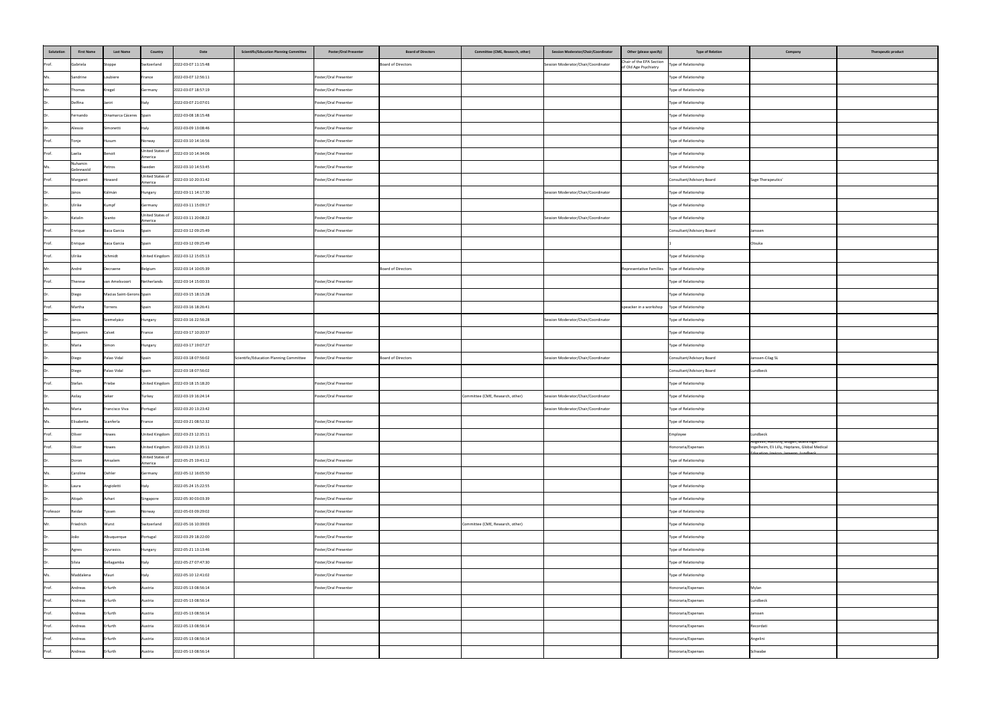| Salutation | <b>First Name</b>    | <b>Last Name</b>          | <b>Country</b>                    | Scientific/Education Planning Committee<br>Date                | <b>Poster/Oral Presenter</b> | <b>Board of Directors</b> | Committee (CME, Research, other) | <b>Session Moderator/Chair/Coordinator</b> | Other (please specify)                              | <b>Type of Relation</b>   | Company                                                                                                                          | Therapeutic product |
|------------|----------------------|---------------------------|-----------------------------------|----------------------------------------------------------------|------------------------------|---------------------------|----------------------------------|--------------------------------------------|-----------------------------------------------------|---------------------------|----------------------------------------------------------------------------------------------------------------------------------|---------------------|
| Prof.      | Gabriela             | Stoppe                    | Switzerland                       | 2022-03-07 11:15:48                                            |                              | Board of Directors        |                                  | Session Moderator/Chair/Coordinator        | Chair of the EPA Section<br>of Old Age Psychiatry   | Type of Relationship      |                                                                                                                                  |                     |
| Ms.        | Sandrine             | Loubiere                  | France                            | 2022-03-07 12:56:11                                            | Poster/Oral Presenter        |                           |                                  |                                            |                                                     | Type of Relationship      |                                                                                                                                  |                     |
| Mr.        | Thomas               | Kregel                    | Germany                           | 2022-03-07 18:57:19                                            | Poster/Oral Presenter        |                           |                                  |                                            |                                                     | Type of Relationship      |                                                                                                                                  |                     |
| Dr         | Delfina              | laniri                    | Italy                             | 2022-03-07 21:07:01                                            | Poster/Oral Presenter        |                           |                                  |                                            |                                                     | Type of Relationship      |                                                                                                                                  |                     |
| IDr.       | Fernando             | Dinamarca Cáceres Spain   |                                   | 2022-03-08 18:15:48                                            | Poster/Oral Presenter        |                           |                                  |                                            |                                                     | Type of Relationship      |                                                                                                                                  |                     |
| Dr         | Alessio              | Simonetti                 | Italy                             | 2022-03-09 13:08:46                                            | Poster/Oral Presenter        |                           |                                  |                                            |                                                     | Type of Relationship      |                                                                                                                                  |                     |
| Prof.      | Tonje                | Husum                     | Norway                            | 2022-03-10 14:16:56                                            | Poster/Oral Presenter        |                           |                                  |                                            |                                                     | Type of Relationship      |                                                                                                                                  |                     |
| Prof.      | Laelia               | Benoit                    | <b>United States o</b><br>America | 2022-03-10 14:34:06                                            | Poster/Oral Presenter        |                           |                                  |                                            |                                                     | Type of Relationship      |                                                                                                                                  |                     |
| Ms.        | Nuhamin<br>Gebrewold | Petros                    | Sweden                            | 2022-03-10 14:53:45                                            | Poster/Oral Presenter        |                           |                                  |                                            |                                                     | Type of Relationship      |                                                                                                                                  |                     |
| Prof.      | Margaret             | Howard                    | United States of<br>America       | 2022-03-10 20:31:42                                            | Poster/Oral Presenter        |                           |                                  |                                            |                                                     | Consultant/Advisory Board | Sage Therapeutics'                                                                                                               |                     |
| Dr.        | János                | Kálmán                    | Hungary                           | 2022-03-11 14:17:30                                            |                              |                           |                                  | Session Moderator/Chair/Coordinator        |                                                     | Type of Relationship      |                                                                                                                                  |                     |
| IDr.       | Ulrike               | Kumpf                     | Germany                           | 2022-03-11 15:09:17                                            | Poster/Oral Presenter        |                           |                                  |                                            |                                                     | Type of Relationship      |                                                                                                                                  |                     |
|            | Katalin              | Szanto                    | America                           | United States of 2022-03-11 20:08:22                           | Poster/Oral Presenter        |                           |                                  | Session Moderator/Chair/Coordinator        |                                                     | Type of Relationship      |                                                                                                                                  |                     |
| Prof.      | Enrique              | Baca Garcia               | Spain                             | 2022-03-12 09:25:49                                            | Poster/Oral Presenter        |                           |                                  |                                            |                                                     | Consultant/Advisory Board | Janssen                                                                                                                          |                     |
| Prof.      | Enrique              | Baca Garcia               | Spain                             | 2022-03-12 09:25:49                                            |                              |                           |                                  |                                            |                                                     |                           | Otsuka                                                                                                                           |                     |
| Prof.      | Ulrike               | Schmidt                   |                                   | United Kingdom 2022-03-12 15:05:13                             | Poster/Oral Presenter        |                           |                                  |                                            |                                                     | Type of Relationship      |                                                                                                                                  |                     |
| Mr.        | André                | Decraene                  | Belgium                           | 2022-03-14 10:05:39                                            |                              | Board of Directors        |                                  |                                            | Representative Families   Type of Relationship      |                           |                                                                                                                                  |                     |
| Prof.      | Therese              | van Amelsvoort            | Netherlands                       | 2022-03-14 15:00:33                                            | Poster/Oral Presenter        |                           |                                  |                                            |                                                     | Type of Relationship      |                                                                                                                                  |                     |
| Dr         | Diego                | Macias Saint-Gerons Spain |                                   | 2022-03-15 18:15:28                                            | Poster/Oral Presenter        |                           |                                  |                                            |                                                     | Type of Relationship      |                                                                                                                                  |                     |
| Prof.      | Martha               | Torrens                   | Spain                             | 2022-03-16 18:26:41                                            |                              |                           |                                  |                                            | speacker in a workshop $\vert$ Type of Relationship |                           |                                                                                                                                  |                     |
| Dr         | János                | Szemelyácz                | Hungary                           | 2022-03-16 22:56:28                                            |                              |                           |                                  | Session Moderator/Chair/Coordinator        |                                                     | Type of Relationship      |                                                                                                                                  |                     |
|            | Benjamin             | Calvet                    | France                            | 2022-03-17 10:20:37                                            | Poster/Oral Presenter        |                           |                                  |                                            |                                                     | Type of Relationship      |                                                                                                                                  |                     |
| IDr.       | Maria                | Simon                     | Hungary                           | 2022-03-17 19:07:27                                            | Poster/Oral Presenter        |                           |                                  |                                            |                                                     | Type of Relationship      |                                                                                                                                  |                     |
|            | Diego                | Palao Vidal               | Spain                             | Scientific/Education Planning Committee<br>2022-03-18 07:56:02 | Poster/Oral Presenter        | Board of Directors        |                                  | Session Moderator/Chair/Coordinator        |                                                     | Consultant/Advisory Board | Janssen-Cilag SL                                                                                                                 |                     |
| IDr.       | Diego                | Palao Vidal               | Spain                             | 2022-03-18 07:56:02                                            |                              |                           |                                  |                                            |                                                     | Consultant/Advisory Board | Lundbeck                                                                                                                         |                     |
| Prof.      | Stefan               | Priebe                    |                                   | United Kingdom 2022-03-18 15:18:20                             | Poster/Oral Presenter        |                           |                                  |                                            |                                                     | Type of Relationship      |                                                                                                                                  |                     |
| Dr         | Asilay               | Seker                     | Turkey                            | 2022-03-19 16:24:14                                            | Poster/Oral Presenter        |                           | Committee (CME, Research, other) | Session Moderator/Chair/Coordinator        |                                                     | Type of Relationship      |                                                                                                                                  |                     |
| Ms.        | Maria                | Francisco Viva            | Portugal                          | 2022-03-20 13:23:42                                            |                              |                           |                                  | Session Moderator/Chair/Coordinator        |                                                     | Type of Relationship      |                                                                                                                                  |                     |
| Ms.        | Elisabetta           | Scanferla                 | France                            | 2022-03-21 08:52:32                                            | Poster/Oral Presenter        |                           |                                  |                                            |                                                     | Type of Relationship      |                                                                                                                                  |                     |
| Prof.      | Oliver               | Howes                     |                                   | United Kingdom 2022-03-23 12:35:11                             | Poster/Oral Presenter        |                           |                                  |                                            |                                                     | Employee                  | Lundbeck                                                                                                                         |                     |
| Prof.      | Oliver               | Howes                     |                                   | United Kingdom 2022-03-23 12:35:11                             |                              |                           |                                  |                                            |                                                     | Honoraria/Expenses        | Angellini, Autifony, Biogen, Boehringer-<br>Ingelheim, Eli Lilly, Heptares, Global Medical<br>Fducation Inviero Jansenn Lundheck |                     |
| Dr.        | Doron                | Amsalem                   | United States of<br>America       | 2022-05-25 19:41:12                                            | Poster/Oral Presenter        |                           |                                  |                                            |                                                     | Type of Relationship      |                                                                                                                                  |                     |
| Ms.        | Caroline             | Oehler                    | Germany                           | 2022-05-12 16:05:50                                            | Poster/Oral Presenter        |                           |                                  |                                            |                                                     | Type of Relationship      |                                                                                                                                  |                     |
| IDr.       | Laura                | Angioletti                | Italy                             | 2022-05-24 15:22:55                                            | Poster/Oral Presenter        |                           |                                  |                                            |                                                     | Type of Relationship      |                                                                                                                                  |                     |
| Dr.        | Atiqah               | Azhari                    | Singapore                         | 2022-05-30 03:03:39                                            | Poster/Oral Presenter        |                           |                                  |                                            |                                                     | Type of Relationship      |                                                                                                                                  |                     |
| Professor  | Reidar               | Tyssen                    | Norway                            | 2022-05-03 09:29:02                                            | Poster/Oral Presenter        |                           |                                  |                                            |                                                     | Type of Relationship      |                                                                                                                                  |                     |
| Mr.        | Friedrich            | Wurst                     | Switzerland                       | 2022-05-16 10:39:03                                            | Poster/Oral Presenter        |                           | Committee (CME, Research, other) |                                            |                                                     | Type of Relationship      |                                                                                                                                  |                     |
| IDr.       | João                 | Albuquerque               | Portugal                          | 2022-03-29 18:22:00                                            | Poster/Oral Presenter        |                           |                                  |                                            |                                                     | Type of Relationship      |                                                                                                                                  |                     |
| IDr.       | Agnes                | Gyurasics                 | Hungary                           | 2022-05-21 13:13:46                                            | Poster/Oral Presenter        |                           |                                  |                                            |                                                     | Type of Relationship      |                                                                                                                                  |                     |
| IDr.       | Silvia               | Bellagamba                | Italy                             | 2022-05-27 07:47:30                                            | Poster/Oral Presenter        |                           |                                  |                                            |                                                     | Type of Relationship      |                                                                                                                                  |                     |
| Ms.        | Maddalena            | Mauri                     | Italy                             | 2022-05-10 12:41:02                                            | Poster/Oral Presenter        |                           |                                  |                                            |                                                     | Type of Relationship      |                                                                                                                                  |                     |
| Prof.      | Andreas              | Erfurth                   | Austria                           | 2022-05-13 08:56:14                                            | Poster/Oral Presenter        |                           |                                  |                                            |                                                     | Honoraria/Expenses        | Mylan                                                                                                                            |                     |
| Prof.      | Andreas              | Erfurth                   | Austria                           | 2022-05-13 08:56:14                                            |                              |                           |                                  |                                            |                                                     | Honoraria/Expenses        | Lundbeck                                                                                                                         |                     |
| Prof.      | Andreas              | Erfurth                   | Austria                           | 2022-05-13 08:56:14                                            |                              |                           |                                  |                                            |                                                     | Honoraria/Expenses        | Janssen                                                                                                                          |                     |
| Prof.      | Andreas              | Erfurth                   | Austria                           | 2022-05-13 08:56:14                                            |                              |                           |                                  |                                            |                                                     | Honoraria/Expenses        | Recordati                                                                                                                        |                     |
| Prof.      | Andreas              | Erfurth                   | Austria                           | 2022-05-13 08:56:14                                            |                              |                           |                                  |                                            |                                                     | Honoraria/Expenses        | Angelini                                                                                                                         |                     |
| Prof.      | Andreas              | Erfurth                   | Austria                           | 2022-05-13 08:56:14                                            |                              |                           |                                  |                                            |                                                     | Honoraria/Expenses        | Schwabe                                                                                                                          |                     |
|            |                      |                           |                                   |                                                                |                              |                           |                                  |                                            |                                                     |                           |                                                                                                                                  |                     |